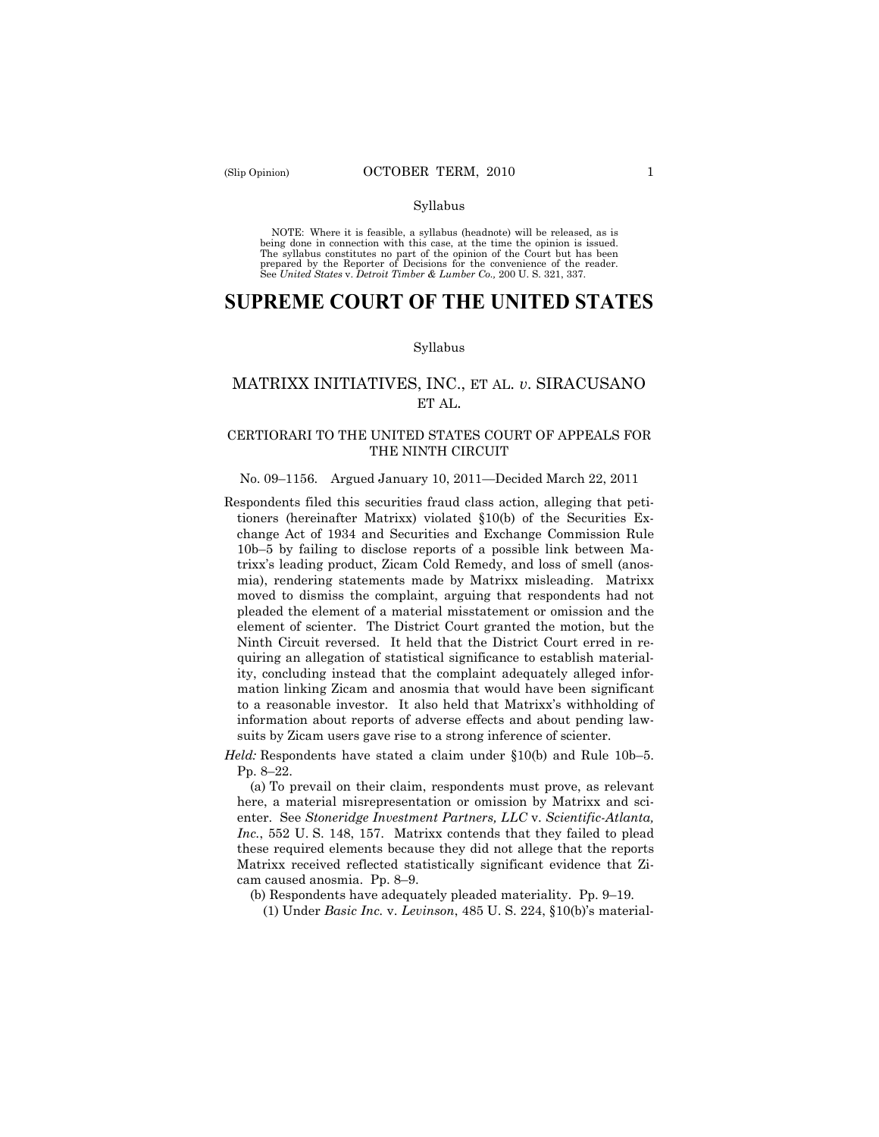#### Syllabus

NOTE: Where it is feasible, a syllabus (headnote) will be released, as is being done in connection with this case, at the time the opinion is issued. The syllabus constitutes no part of the opinion of the Court but has been prepared by the Reporter of Decisions for the convenience of the reader. See *United States* v. *Detroit Timber & Lumber Co.,* 200 U. S. 321, 337.

# **SUPREME COURT OF THE UNITED STATES**

#### Syllabus

# MATRIXX INITIATIVES, INC., ET AL. *v*. SIRACUSANO ET AL.

### CERTIORARI TO THE UNITED STATES COURT OF APPEALS FOR THE NINTH CIRCUIT

No. 09–1156. Argued January 10, 2011—Decided March 22, 2011

Respondents filed this securities fraud class action, alleging that petitioners (hereinafter Matrixx) violated §10(b) of the Securities Exchange Act of 1934 and Securities and Exchange Commission Rule 10b–5 by failing to disclose reports of a possible link between Matrixx's leading product, Zicam Cold Remedy, and loss of smell (anosmia), rendering statements made by Matrixx misleading. Matrixx moved to dismiss the complaint, arguing that respondents had not pleaded the element of a material misstatement or omission and the element of scienter. The District Court granted the motion, but the Ninth Circuit reversed. It held that the District Court erred in requiring an allegation of statistical significance to establish materiality, concluding instead that the complaint adequately alleged information linking Zicam and anosmia that would have been significant to a reasonable investor. It also held that Matrixx's withholding of information about reports of adverse effects and about pending lawsuits by Zicam users gave rise to a strong inference of scienter.

*Held:* Respondents have stated a claim under §10(b) and Rule 10b–5. Pp. 8–22.

(a) To prevail on their claim, respondents must prove, as relevant here, a material misrepresentation or omission by Matrixx and scienter. See *Stoneridge Investment Partners, LLC* v. *Scientific-Atlanta, Inc.*, 552 U. S. 148, 157. Matrixx contends that they failed to plead these required elements because they did not allege that the reports Matrixx received reflected statistically significant evidence that Zicam caused anosmia. Pp. 8–9.

(b) Respondents have adequately pleaded materiality. Pp. 9–19.

(1) Under *Basic Inc.* v. *Levinson*, 485 U. S. 224, §10(b)'s material-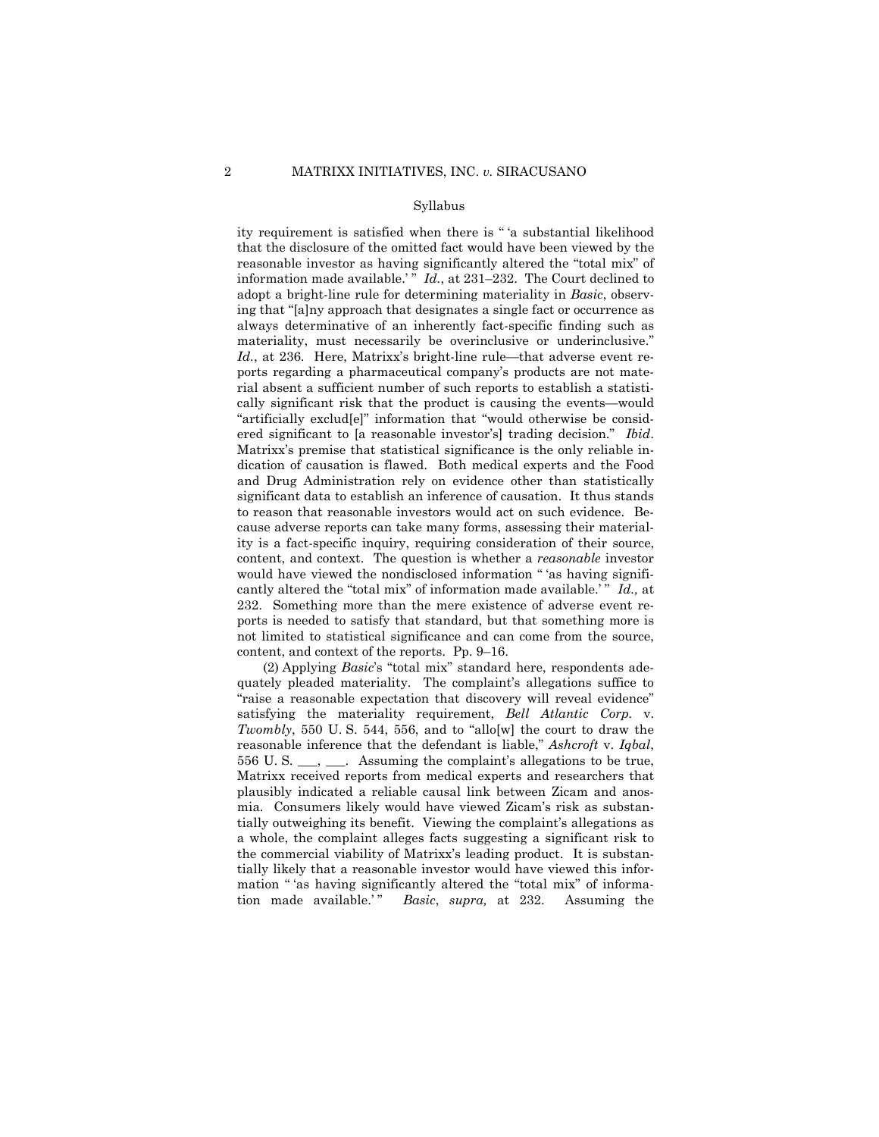#### Syllabus

ity requirement is satisfied when there is " 'a substantial likelihood that the disclosure of the omitted fact would have been viewed by the reasonable investor as having significantly altered the "total mix" of information made available.'" *Id.*, at 231-232. The Court declined to adopt a bright-line rule for determining materiality in *Basic*, observing that "[a]ny approach that designates a single fact or occurrence as always determinative of an inherently fact-specific finding such as materiality, must necessarily be overinclusive or underinclusive." *Id.*, at 236. Here, Matrixx's bright-line rule—that adverse event reports regarding a pharmaceutical company's products are not material absent a sufficient number of such reports to establish a statistically significant risk that the product is causing the events—would "artificially exclud[e]" information that "would otherwise be considered significant to [a reasonable investor's] trading decision." *Ibid*. Matrixx's premise that statistical significance is the only reliable indication of causation is flawed. Both medical experts and the Food and Drug Administration rely on evidence other than statistically significant data to establish an inference of causation. It thus stands to reason that reasonable investors would act on such evidence. Because adverse reports can take many forms, assessing their materiality is a fact-specific inquiry, requiring consideration of their source, content, and context. The question is whether a *reasonable* investor would have viewed the nondisclosed information " 'as having significantly altered the "total mix" of information made available.'" Id., at 232. Something more than the mere existence of adverse event reports is needed to satisfy that standard, but that something more is not limited to statistical significance and can come from the source, content, and context of the reports. Pp. 9–16.

(2) Applying *Basic*'s "total mix" standard here, respondents adequately pleaded materiality. The complaint's allegations suffice to "raise a reasonable expectation that discovery will reveal evidence" satisfying the materiality requirement, *Bell Atlantic Corp.* v. *Twombly*, 550 U. S. 544, 556, and to "allo[w] the court to draw the reasonable inference that the defendant is liable," *Ashcroft* v. *Iqbal*, 556 U. S. \_\_\_, \_\_\_. Assuming the complaint's allegations to be true, Matrixx received reports from medical experts and researchers that plausibly indicated a reliable causal link between Zicam and anosmia. Consumers likely would have viewed Zicam's risk as substantially outweighing its benefit. Viewing the complaint's allegations as a whole, the complaint alleges facts suggesting a significant risk to the commercial viability of Matrixx's leading product. It is substantially likely that a reasonable investor would have viewed this information " 'as having significantly altered the "total mix" of information made available.'" *Basic*, *supra*, at 232. Assuming the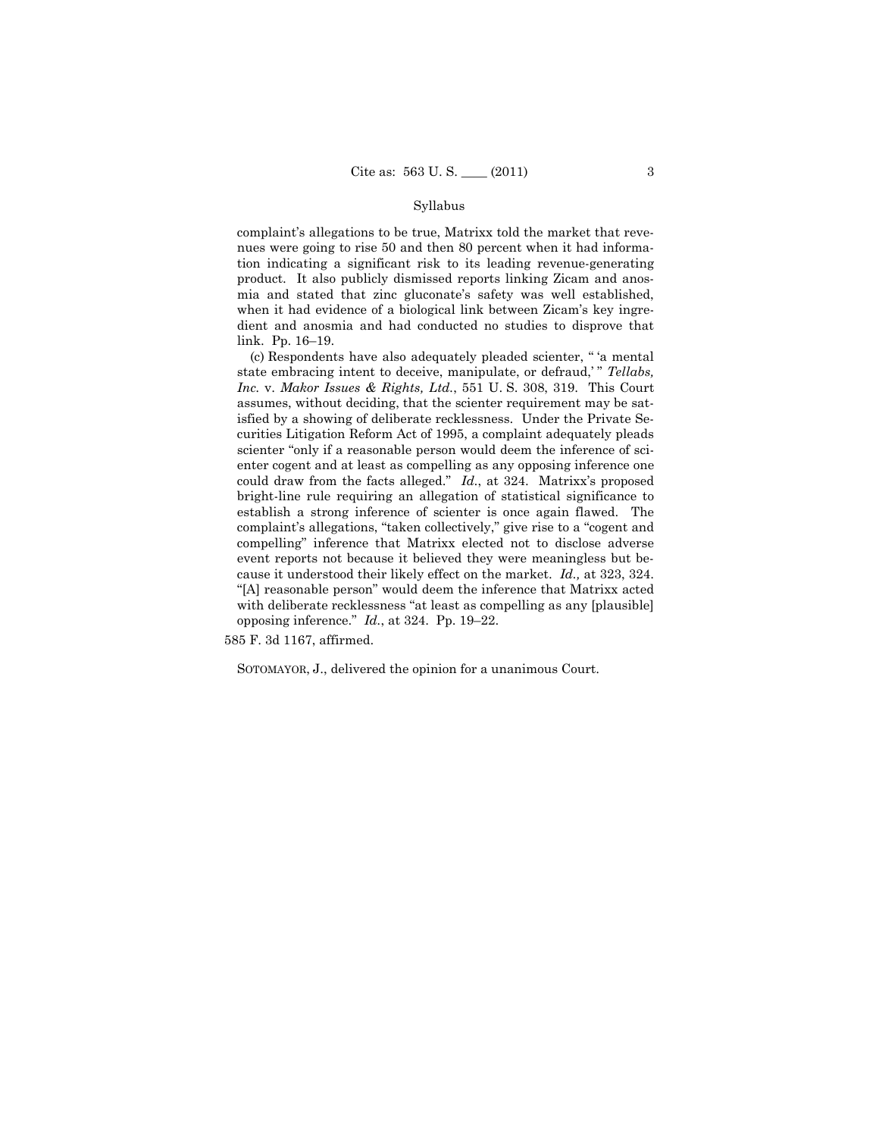#### Syllabus

complaint's allegations to be true, Matrixx told the market that revenues were going to rise 50 and then 80 percent when it had information indicating a significant risk to its leading revenue-generating product. It also publicly dismissed reports linking Zicam and anosmia and stated that zinc gluconate's safety was well established, when it had evidence of a biological link between Zicam's key ingredient and anosmia and had conducted no studies to disprove that link. Pp. 16–19.

(c) Respondents have also adequately pleaded scienter, " 'a mental state embracing intent to deceive, manipulate, or defraud,' " *Tellabs, Inc.* v. *Makor Issues & Rights, Ltd.*, 551 U. S. 308, 319. This Court assumes, without deciding, that the scienter requirement may be satisfied by a showing of deliberate recklessness. Under the Private Securities Litigation Reform Act of 1995, a complaint adequately pleads scienter "only if a reasonable person would deem the inference of scienter cogent and at least as compelling as any opposing inference one could draw from the facts alleged." *Id.*, at 324. Matrixx's proposed bright-line rule requiring an allegation of statistical significance to establish a strong inference of scienter is once again flawed. The complaint's allegations, "taken collectively," give rise to a "cogent and compelling" inference that Matrixx elected not to disclose adverse event reports not because it believed they were meaningless but because it understood their likely effect on the market. *Id.,* at 323, 324. "[A] reasonable person" would deem the inference that Matrixx acted with deliberate recklessness "at least as compelling as any [plausible] opposing inference." *Id.*, at 324. Pp. 19–22.

585 F. 3d 1167, affirmed.

SOTOMAYOR, J., delivered the opinion for a unanimous Court.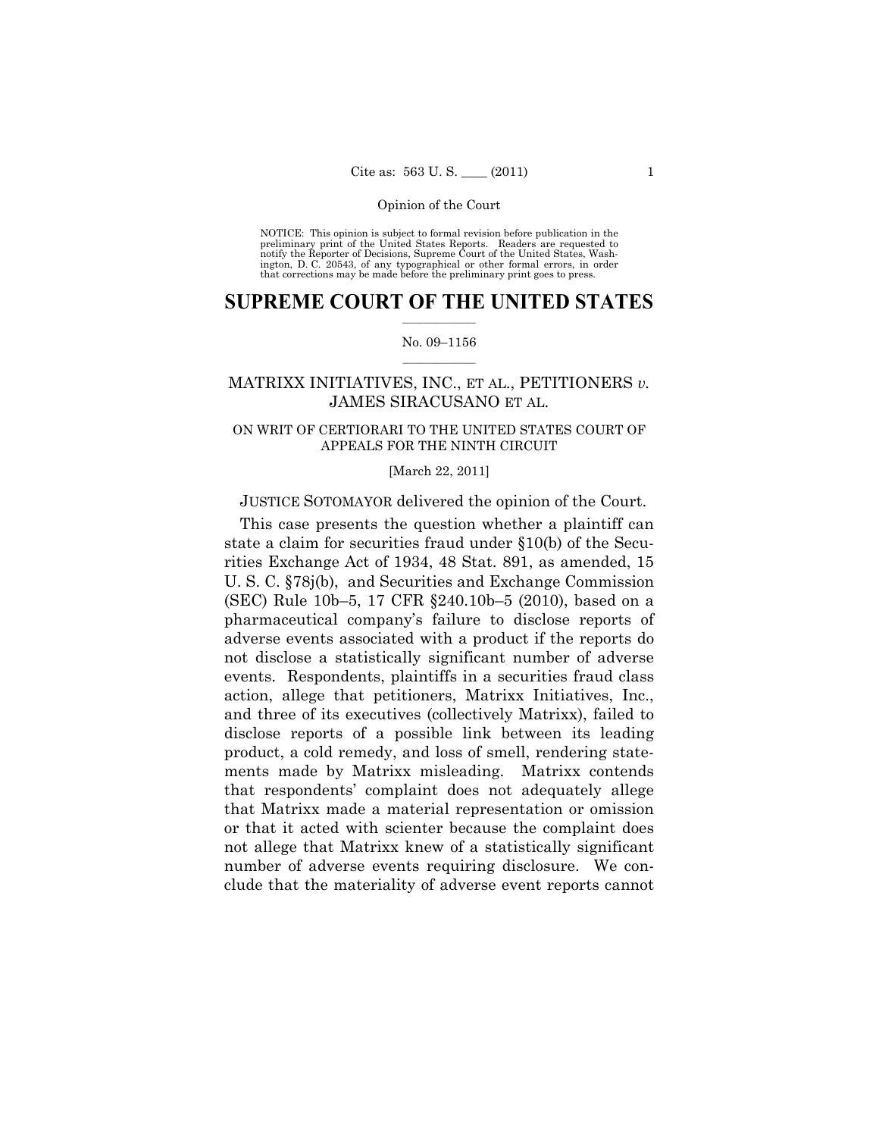NOTICE: This opinion is subject to formal revision before publication in the preliminary print of the United States Reports. Readers are requested to notify the Reporter of Decisions, Supreme Court of the United States, Wa ington, D. C. 20543, of any typographical or other formal errors, in order that corrections may be made before the preliminary print goes to press.

### $\frac{1}{2}$  , where  $\frac{1}{2}$ **SUPREME COURT OF THE UNITED STATES**

#### $\frac{1}{2}$  ,  $\frac{1}{2}$  ,  $\frac{1}{2}$  ,  $\frac{1}{2}$  ,  $\frac{1}{2}$  ,  $\frac{1}{2}$ No. 09–1156

# MATRIXX INITIATIVES, INC., ET AL., PETITIONERS *v.* JAMES SIRACUSANO ET AL.

### ON WRIT OF CERTIORARI TO THE UNITED STATES COURT OF APPEALS FOR THE NINTH CIRCUIT

[March 22, 2011]

JUSTICE SOTOMAYOR delivered the opinion of the Court.

This case presents the question whether a plaintiff can state a claim for securities fraud under §10(b) of the Securities Exchange Act of 1934, 48 Stat. 891, as amended, 15 U. S. C. §78j(b), and Securities and Exchange Commission (SEC) Rule 10b–5, 17 CFR §240.10b–5 (2010), based on a pharmaceutical company's failure to disclose reports of adverse events associated with a product if the reports do not disclose a statistically significant number of adverse events. Respondents, plaintiffs in a securities fraud class action, allege that petitioners, Matrixx Initiatives, Inc., and three of its executives (collectively Matrixx), failed to disclose reports of a possible link between its leading product, a cold remedy, and loss of smell, rendering statements made by Matrixx misleading. Matrixx contends that respondents' complaint does not adequately allege that Matrixx made a material representation or omission or that it acted with scienter because the complaint does not allege that Matrixx knew of a statistically significant number of adverse events requiring disclosure. We conclude that the materiality of adverse event reports cannot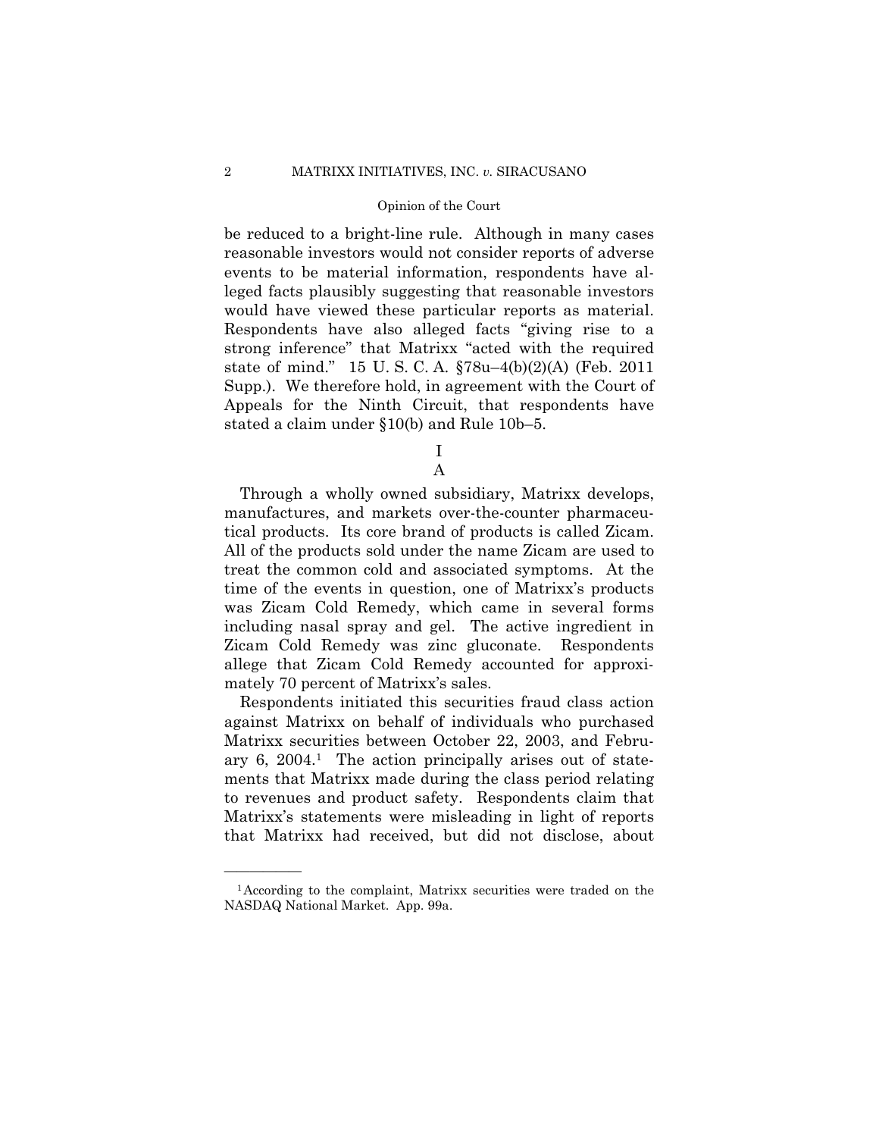be reduced to a bright-line rule. Although in many cases reasonable investors would not consider reports of adverse events to be material information, respondents have alleged facts plausibly suggesting that reasonable investors would have viewed these particular reports as material. Respondents have also alleged facts "giving rise to a strong inference" that Matrixx "acted with the required state of mind." 15 U. S. C. A. §78u–4(b)(2)(A) (Feb. 2011 Supp.). We therefore hold, in agreement with the Court of Appeals for the Ninth Circuit, that respondents have stated a claim under §10(b) and Rule 10b–5.

I

A

Through a wholly owned subsidiary, Matrixx develops, manufactures, and markets over-the-counter pharmaceutical products. Its core brand of products is called Zicam. All of the products sold under the name Zicam are used to treat the common cold and associated symptoms. At the time of the events in question, one of Matrixx's products was Zicam Cold Remedy, which came in several forms including nasal spray and gel. The active ingredient in Zicam Cold Remedy was zinc gluconate. Respondents allege that Zicam Cold Remedy accounted for approximately 70 percent of Matrixx's sales.

Respondents initiated this securities fraud class action against Matrixx on behalf of individuals who purchased Matrixx securities between October 22, 2003, and February 6,  $2004<sup>1</sup>$ . The action principally arises out of statements that Matrixx made during the class period relating to revenues and product safety. Respondents claim that Matrixx's statements were misleading in light of reports that Matrixx had received, but did not disclose, about

<sup>1</sup>According to the complaint, Matrixx securities were traded on the NASDAQ National Market. App. 99a.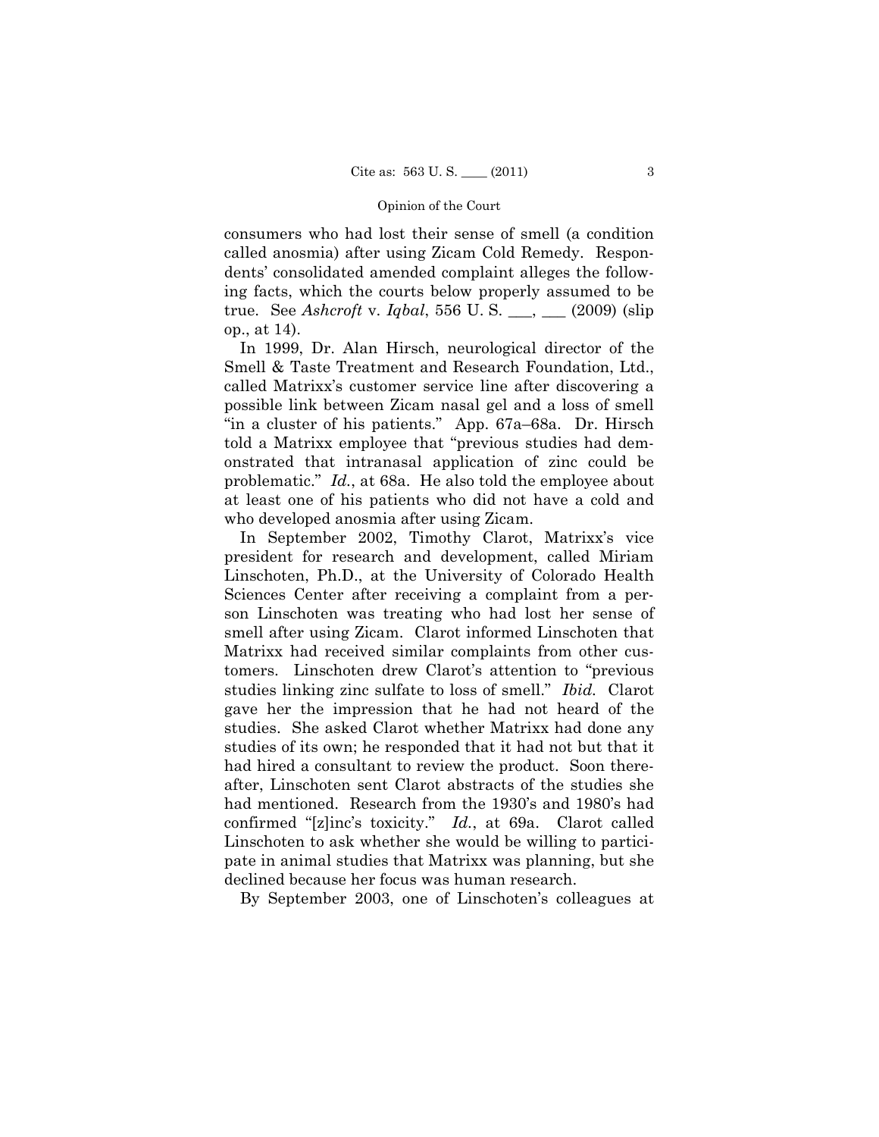consumers who had lost their sense of smell (a condition called anosmia) after using Zicam Cold Remedy. Respondents' consolidated amended complaint alleges the following facts, which the courts below properly assumed to be true. See *Ashcroft* v. *Iqbal*, 556 U. S. \_\_\_, \_\_\_ (2009) (slip op., at 14).

In 1999, Dr. Alan Hirsch, neurological director of the Smell & Taste Treatment and Research Foundation, Ltd., called Matrixx's customer service line after discovering a possible link between Zicam nasal gel and a loss of smell "in a cluster of his patients." App. 67a–68a. Dr. Hirsch told a Matrixx employee that "previous studies had demonstrated that intranasal application of zinc could be problematic." *Id.*, at 68a. He also told the employee about at least one of his patients who did not have a cold and who developed anosmia after using Zicam.

In September 2002, Timothy Clarot, Matrixx's vice president for research and development, called Miriam Linschoten, Ph.D., at the University of Colorado Health Sciences Center after receiving a complaint from a person Linschoten was treating who had lost her sense of smell after using Zicam. Clarot informed Linschoten that Matrixx had received similar complaints from other customers. Linschoten drew Clarot's attention to "previous studies linking zinc sulfate to loss of smell." *Ibid.* Clarot gave her the impression that he had not heard of the studies. She asked Clarot whether Matrixx had done any studies of its own; he responded that it had not but that it had hired a consultant to review the product. Soon thereafter, Linschoten sent Clarot abstracts of the studies she had mentioned. Research from the 1930's and 1980's had confirmed "[z]inc's toxicity." *Id.*, at 69a. Clarot called Linschoten to ask whether she would be willing to participate in animal studies that Matrixx was planning, but she declined because her focus was human research.

By September 2003, one of Linschoten's colleagues at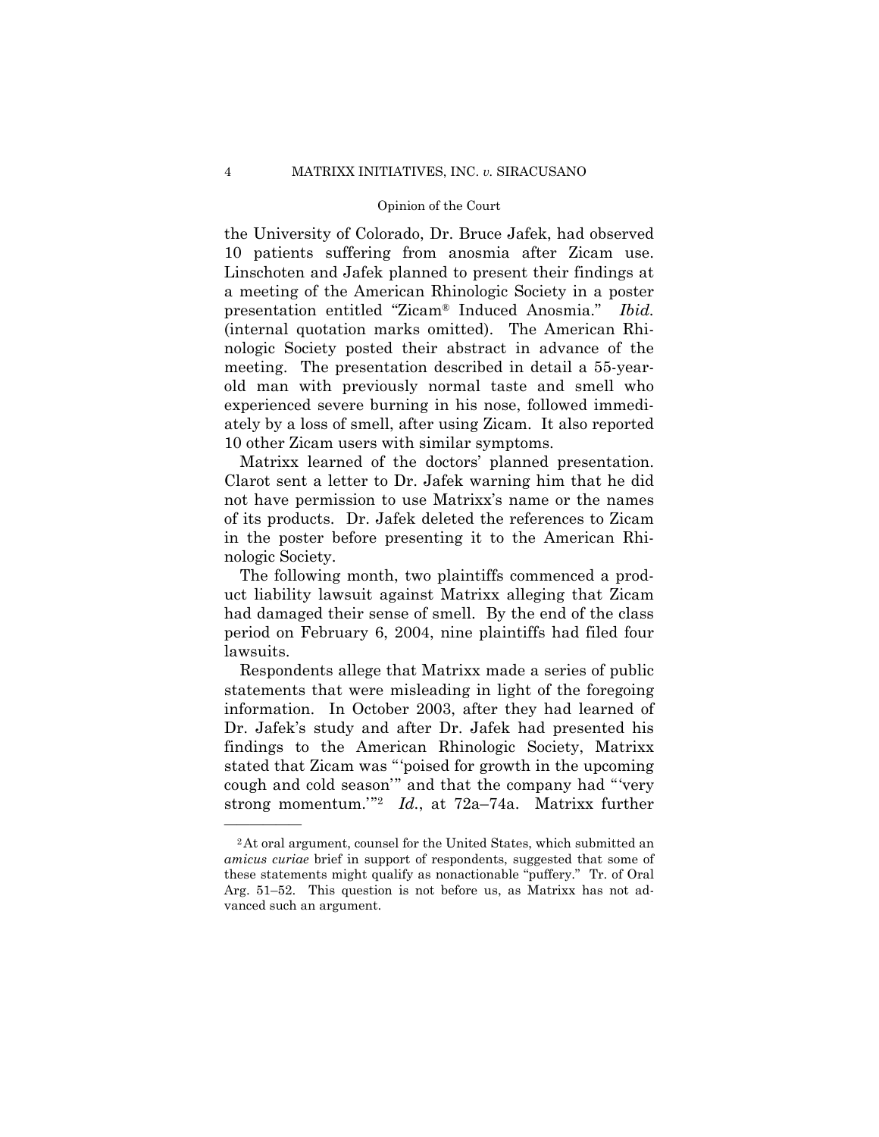the University of Colorado, Dr. Bruce Jafek, had observed 10 patients suffering from anosmia after Zicam use. Linschoten and Jafek planned to present their findings at a meeting of the American Rhinologic Society in a poster presentation entitled "Zicam® Induced Anosmia." *Ibid.*  (internal quotation marks omitted). The American Rhinologic Society posted their abstract in advance of the meeting. The presentation described in detail a 55-yearold man with previously normal taste and smell who experienced severe burning in his nose, followed immediately by a loss of smell, after using Zicam. It also reported 10 other Zicam users with similar symptoms.

Matrixx learned of the doctors' planned presentation. Clarot sent a letter to Dr. Jafek warning him that he did not have permission to use Matrixx's name or the names of its products. Dr. Jafek deleted the references to Zicam in the poster before presenting it to the American Rhinologic Society.

The following month, two plaintiffs commenced a product liability lawsuit against Matrixx alleging that Zicam had damaged their sense of smell. By the end of the class period on February 6, 2004, nine plaintiffs had filed four lawsuits.

Respondents allege that Matrixx made a series of public statements that were misleading in light of the foregoing information. In October 2003, after they had learned of Dr. Jafek's study and after Dr. Jafek had presented his findings to the American Rhinologic Society, Matrixx stated that Zicam was "'poised for growth in the upcoming cough and cold season'" and that the company had "'very strong momentum.'"2 *Id.*, at 72a–74a. Matrixx further

<sup>2</sup>At oral argument, counsel for the United States, which submitted an *amicus curiae* brief in support of respondents, suggested that some of these statements might qualify as nonactionable "puffery." Tr. of Oral Arg. 51–52. This question is not before us, as Matrixx has not advanced such an argument.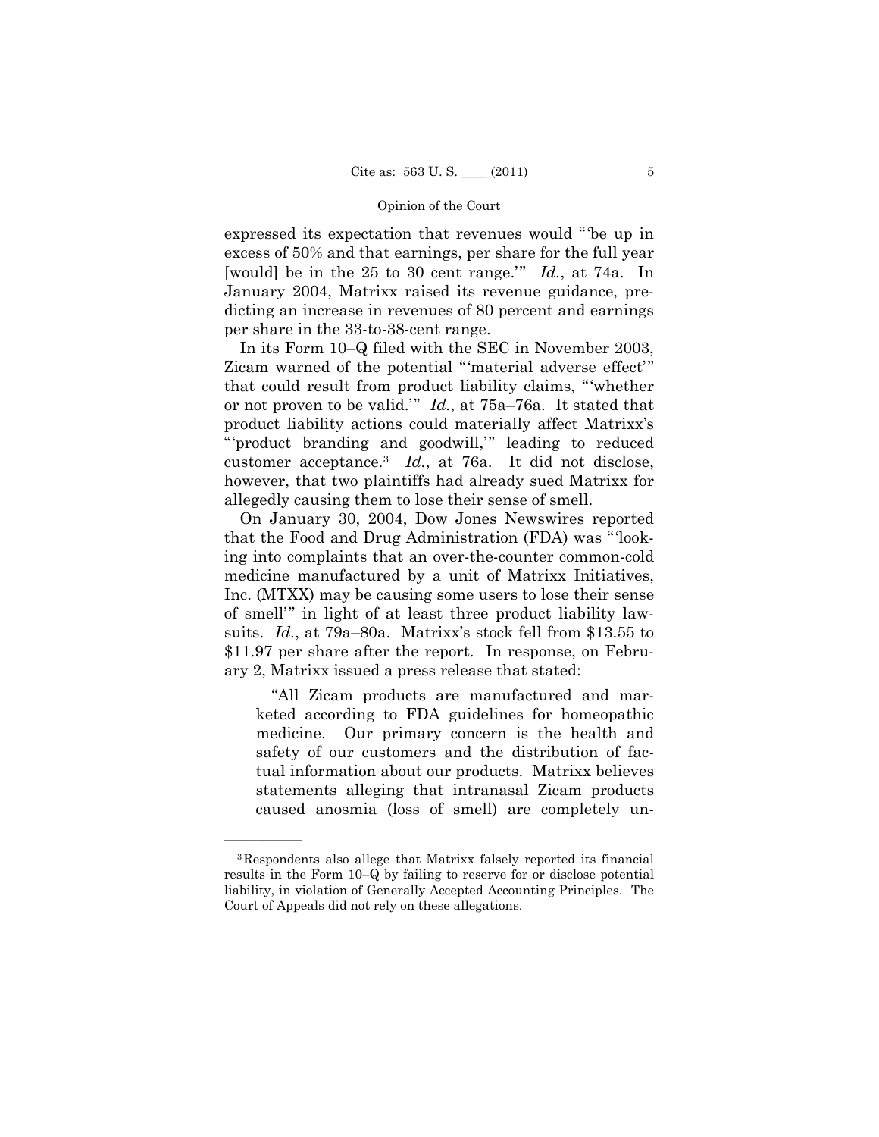expressed its expectation that revenues would "'be up in excess of 50% and that earnings, per share for the full year [would] be in the 25 to 30 cent range.'" *Id.*, at 74a. In January 2004, Matrixx raised its revenue guidance, predicting an increase in revenues of 80 percent and earnings per share in the 33-to-38-cent range.

In its Form 10–Q filed with the SEC in November 2003, Zicam warned of the potential "'material adverse effect'" that could result from product liability claims, "'whether or not proven to be valid.'" *Id.*, at 75a–76a. It stated that product liability actions could materially affect Matrixx's "'product branding and goodwill,'" leading to reduced customer acceptance.3 *Id.*, at 76a. It did not disclose, however, that two plaintiffs had already sued Matrixx for allegedly causing them to lose their sense of smell.

On January 30, 2004, Dow Jones Newswires reported that the Food and Drug Administration (FDA) was "'looking into complaints that an over-the-counter common-cold medicine manufactured by a unit of Matrixx Initiatives, Inc. (MTXX) may be causing some users to lose their sense of smell'" in light of at least three product liability lawsuits. *Id.*, at 79a–80a. Matrixx's stock fell from \$13.55 to \$11.97 per share after the report. In response, on February 2, Matrixx issued a press release that stated:

"All Zicam products are manufactured and marketed according to FDA guidelines for homeopathic medicine. Our primary concern is the health and safety of our customers and the distribution of factual information about our products. Matrixx believes statements alleging that intranasal Zicam products caused anosmia (loss of smell) are completely un

<sup>3</sup>Respondents also allege that Matrixx falsely reported its financial results in the Form 10–Q by failing to reserve for or disclose potential liability, in violation of Generally Accepted Accounting Principles. The Court of Appeals did not rely on these allegations.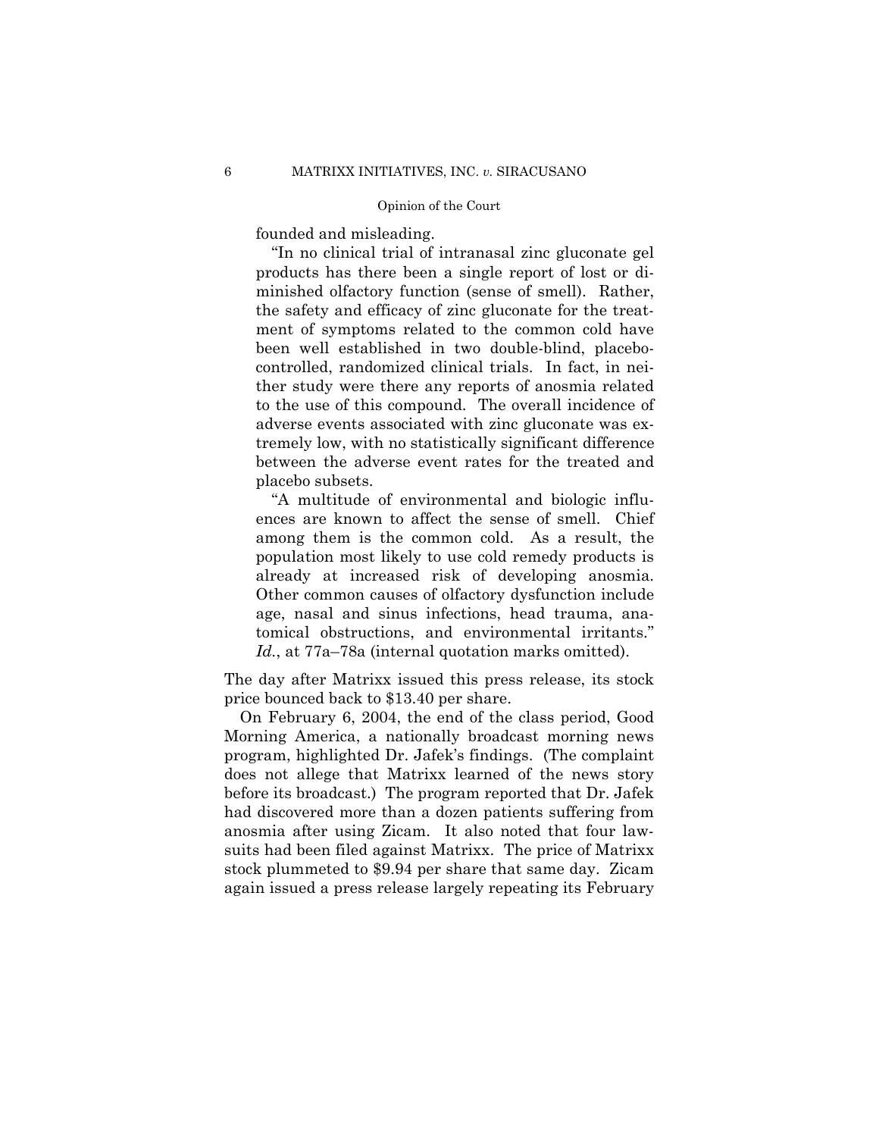founded and misleading.

"In no clinical trial of intranasal zinc gluconate gel products has there been a single report of lost or diminished olfactory function (sense of smell). Rather, the safety and efficacy of zinc gluconate for the treatment of symptoms related to the common cold have been well established in two double-blind, placebocontrolled, randomized clinical trials. In fact, in neither study were there any reports of anosmia related to the use of this compound. The overall incidence of adverse events associated with zinc gluconate was extremely low, with no statistically significant difference between the adverse event rates for the treated and placebo subsets.

"A multitude of environmental and biologic influences are known to affect the sense of smell. Chief among them is the common cold. As a result, the population most likely to use cold remedy products is already at increased risk of developing anosmia. Other common causes of olfactory dysfunction include age, nasal and sinus infections, head trauma, anatomical obstructions, and environmental irritants." *Id.*, at 77a–78a (internal quotation marks omitted).

The day after Matrixx issued this press release, its stock price bounced back to \$13.40 per share.

On February 6, 2004, the end of the class period, Good Morning America, a nationally broadcast morning news program, highlighted Dr. Jafek's findings. (The complaint does not allege that Matrixx learned of the news story before its broadcast.) The program reported that Dr. Jafek had discovered more than a dozen patients suffering from anosmia after using Zicam. It also noted that four lawsuits had been filed against Matrixx. The price of Matrixx stock plummeted to \$9.94 per share that same day. Zicam again issued a press release largely repeating its February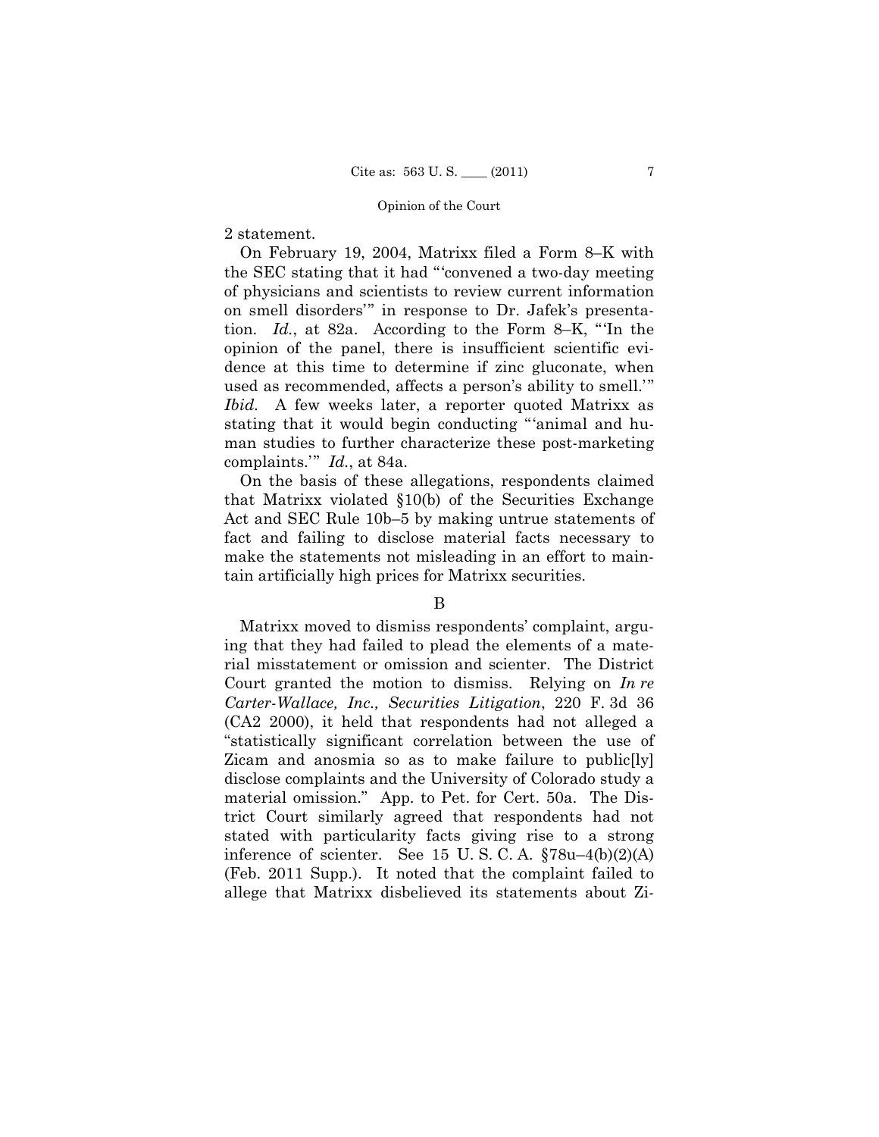2 statement.

On February 19, 2004, Matrixx filed a Form 8–K with the SEC stating that it had "'convened a two-day meeting of physicians and scientists to review current information on smell disorders'" in response to Dr. Jafek's presentation. *Id.*, at 82a. According to the Form 8–K, "'In the opinion of the panel, there is insufficient scientific evidence at this time to determine if zinc gluconate, when used as recommended, affects a person's ability to smell." *Ibid.* A few weeks later, a reporter quoted Matrixx as stating that it would begin conducting "'animal and human studies to further characterize these post-marketing complaints.'" *Id.*, at 84a.

On the basis of these allegations, respondents claimed that Matrixx violated §10(b) of the Securities Exchange Act and SEC Rule 10b–5 by making untrue statements of fact and failing to disclose material facts necessary to make the statements not misleading in an effort to maintain artificially high prices for Matrixx securities.

B

Matrixx moved to dismiss respondents' complaint, arguing that they had failed to plead the elements of a material misstatement or omission and scienter. The District Court granted the motion to dismiss. Relying on *In re Carter-Wallace, Inc., Securities Litigation*, 220 F. 3d 36 (CA2 2000), it held that respondents had not alleged a "statistically significant correlation between the use of Zicam and anosmia so as to make failure to public[ly] disclose complaints and the University of Colorado study a material omission." App. to Pet. for Cert. 50a. The District Court similarly agreed that respondents had not stated with particularity facts giving rise to a strong inference of scienter. See 15 U.S.C.A.  $$78u-4(b)(2)(A)$ (Feb. 2011 Supp.). It noted that the complaint failed to allege that Matrixx disbelieved its statements about Zi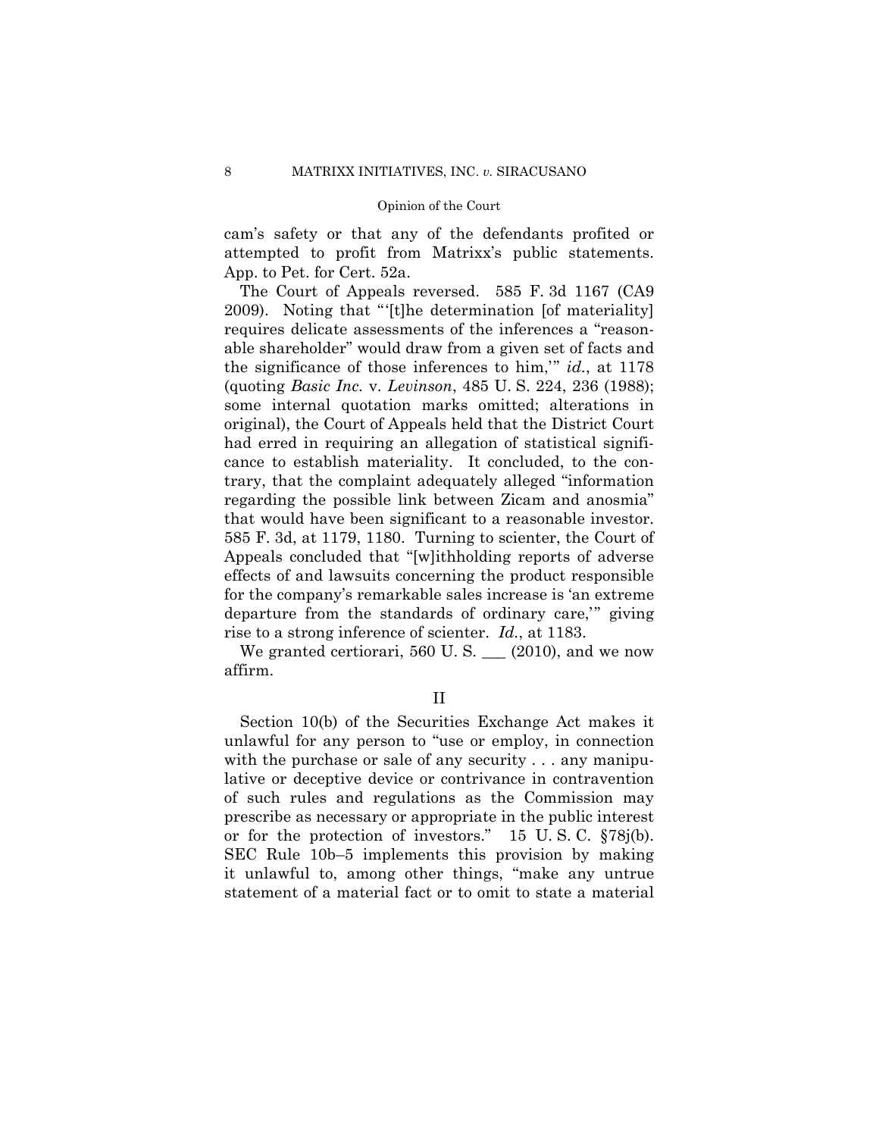cam's safety or that any of the defendants profited or attempted to profit from Matrixx's public statements. App. to Pet. for Cert. 52a.

The Court of Appeals reversed. 585 F. 3d 1167 (CA9 2009). Noting that "'[t]he determination [of materiality] requires delicate assessments of the inferences a "reasonable shareholder" would draw from a given set of facts and the significance of those inferences to him,'" *id.*, at 1178 (quoting *Basic Inc.* v. *Levinson*, 485 U. S. 224, 236 (1988); some internal quotation marks omitted; alterations in original), the Court of Appeals held that the District Court had erred in requiring an allegation of statistical significance to establish materiality. It concluded, to the contrary, that the complaint adequately alleged "information regarding the possible link between Zicam and anosmia" that would have been significant to a reasonable investor. 585 F. 3d, at 1179, 1180. Turning to scienter, the Court of Appeals concluded that "[w]ithholding reports of adverse effects of and lawsuits concerning the product responsible for the company's remarkable sales increase is 'an extreme departure from the standards of ordinary care,'" giving rise to a strong inference of scienter. *Id.*, at 1183.

We granted certiorari, 560 U.S. (2010), and we now affirm.

II

Section 10(b) of the Securities Exchange Act makes it unlawful for any person to "use or employ, in connection with the purchase or sale of any security . . . any manipulative or deceptive device or contrivance in contravention of such rules and regulations as the Commission may prescribe as necessary or appropriate in the public interest or for the protection of investors." 15 U. S. C. §78j(b). SEC Rule 10b–5 implements this provision by making it unlawful to, among other things, "make any untrue statement of a material fact or to omit to state a material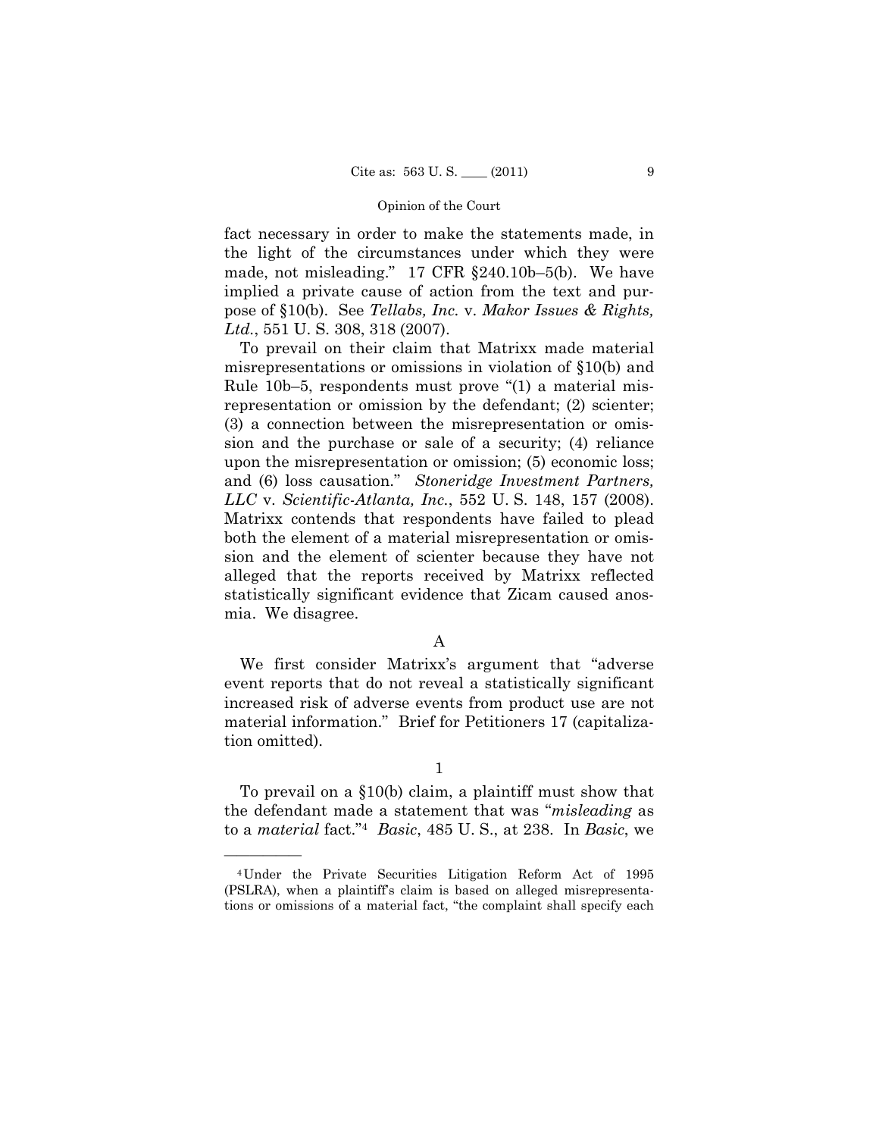fact necessary in order to make the statements made, in the light of the circumstances under which they were made, not misleading." 17 CFR §240.10b–5(b). We have implied a private cause of action from the text and purpose of §10(b). See *Tellabs, Inc.* v. *Makor Issues & Rights, Ltd.*, 551 U. S. 308, 318 (2007).

To prevail on their claim that Matrixx made material misrepresentations or omissions in violation of §10(b) and Rule 10b–5, respondents must prove "(1) a material misrepresentation or omission by the defendant; (2) scienter; (3) a connection between the misrepresentation or omission and the purchase or sale of a security; (4) reliance upon the misrepresentation or omission; (5) economic loss; and (6) loss causation." *Stoneridge Investment Partners, LLC* v. *Scientific-Atlanta, Inc.*, 552 U. S. 148, 157 (2008). Matrixx contends that respondents have failed to plead both the element of a material misrepresentation or omission and the element of scienter because they have not alleged that the reports received by Matrixx reflected statistically significant evidence that Zicam caused anosmia. We disagree.

## A

We first consider Matrixx's argument that "adverse event reports that do not reveal a statistically significant increased risk of adverse events from product use are not material information." Brief for Petitioners 17 (capitalization omitted).

1

To prevail on a §10(b) claim, a plaintiff must show that the defendant made a statement that was "*misleading* as to a *material* fact."4 *Basic*, 485 U. S., at 238. In *Basic*, we

<sup>4</sup>Under the Private Securities Litigation Reform Act of 1995 (PSLRA), when a plaintiff's claim is based on alleged misrepresentations or omissions of a material fact, "the complaint shall specify each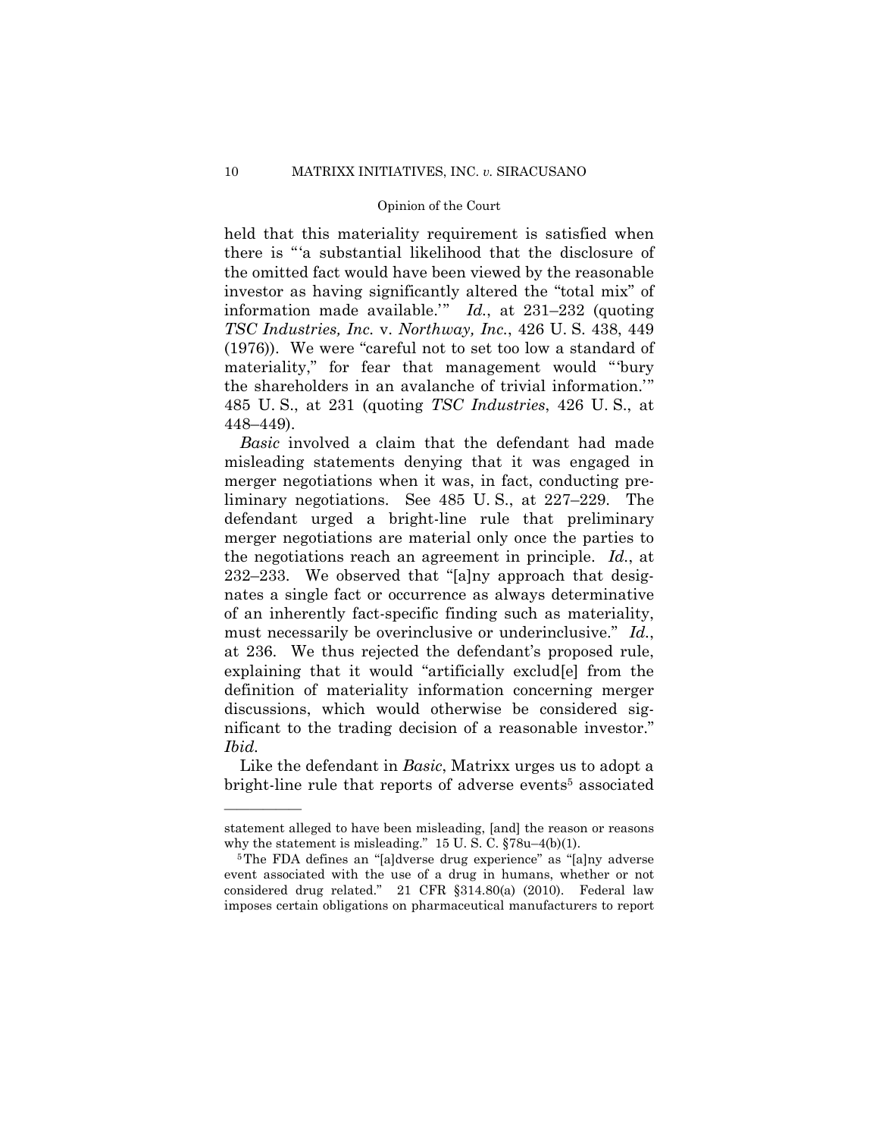held that this materiality requirement is satisfied when there is "'a substantial likelihood that the disclosure of the omitted fact would have been viewed by the reasonable investor as having significantly altered the "total mix" of information made available.'" *Id.*, at 231–232 (quoting *TSC Industries, Inc.* v. *Northway, Inc.*, 426 U. S. 438, 449 (1976)). We were "careful not to set too low a standard of materiality," for fear that management would "'bury the shareholders in an avalanche of trivial information.'" 485 U. S., at 231 (quoting *TSC Industries*, 426 U. S., at 448–449).

*Basic* involved a claim that the defendant had made misleading statements denying that it was engaged in merger negotiations when it was, in fact, conducting preliminary negotiations. See 485 U. S., at 227–229. The defendant urged a bright-line rule that preliminary merger negotiations are material only once the parties to the negotiations reach an agreement in principle. *Id.*, at 232–233. We observed that "[a]ny approach that designates a single fact or occurrence as always determinative of an inherently fact-specific finding such as materiality, must necessarily be overinclusive or underinclusive." *Id.*, at 236. We thus rejected the defendant's proposed rule, explaining that it would "artificially exclud[e] from the definition of materiality information concerning merger discussions, which would otherwise be considered significant to the trading decision of a reasonable investor." *Ibid.* 

Like the defendant in *Basic*, Matrixx urges us to adopt a bright-line rule that reports of adverse events<sup>5</sup> associated

statement alleged to have been misleading, [and] the reason or reasons why the statement is misleading."  $15 \text{ U.S. C. }$  \$78u–4(b)(1).<br><sup>5</sup>The FDA defines an "[a]dverse drug experience" as "[a]ny adverse

event associated with the use of a drug in humans, whether or not considered drug related." 21 CFR §314.80(a) (2010). Federal law imposes certain obligations on pharmaceutical manufacturers to report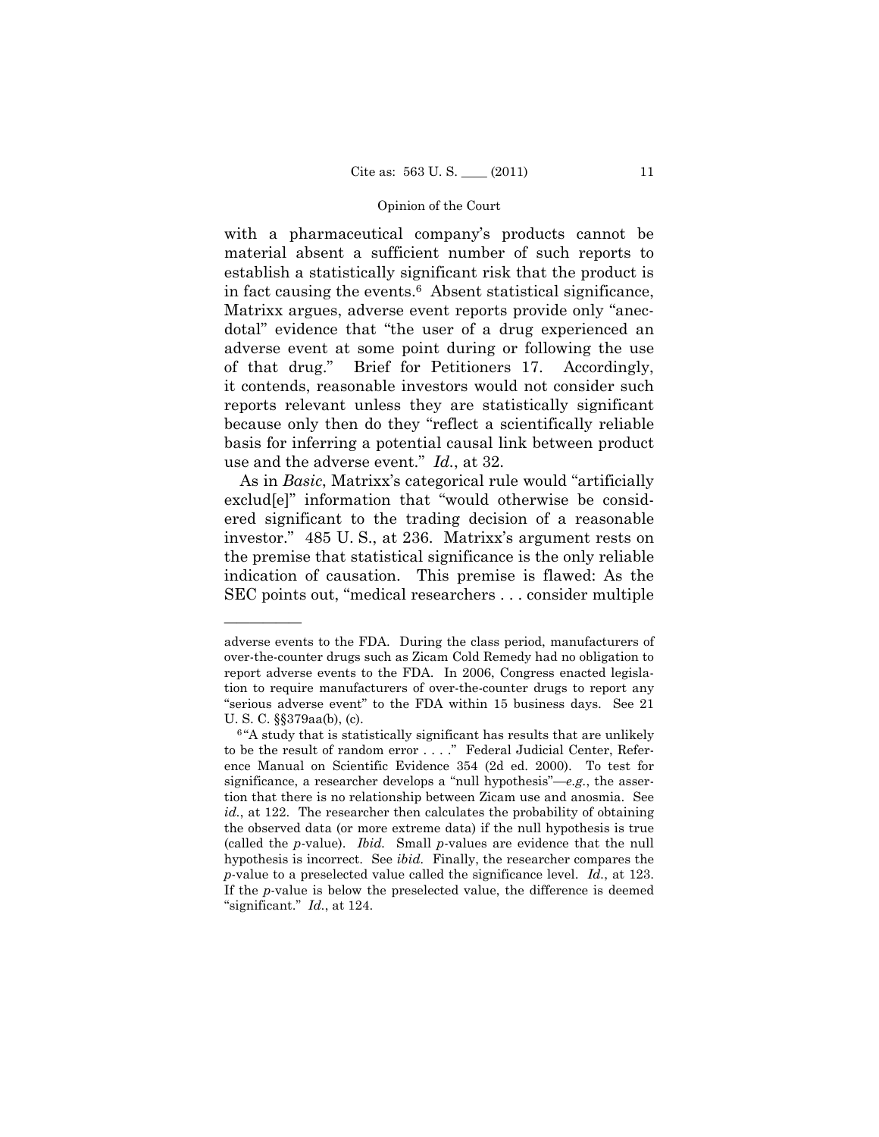with a pharmaceutical company's products cannot be material absent a sufficient number of such reports to establish a statistically significant risk that the product is in fact causing the events.<sup>6</sup> Absent statistical significance. Matrixx argues, adverse event reports provide only "anecdotal" evidence that "the user of a drug experienced an adverse event at some point during or following the use of that drug." Brief for Petitioners 17. Accordingly, it contends, reasonable investors would not consider such reports relevant unless they are statistically significant because only then do they "reflect a scientifically reliable basis for inferring a potential causal link between product use and the adverse event." *Id.*, at 32.

 As in *Basic*, Matrixx's categorical rule would "artificially exclud[e]" information that "would otherwise be considered significant to the trading decision of a reasonable investor." 485 U. S., at 236. Matrixx's argument rests on the premise that statistical significance is the only reliable indication of causation. This premise is flawed: As the SEC points out, "medical researchers . . . consider multiple

adverse events to the FDA. During the class period, manufacturers of over-the-counter drugs such as Zicam Cold Remedy had no obligation to report adverse events to the FDA. In 2006, Congress enacted legislation to require manufacturers of over-the-counter drugs to report any "serious adverse event" to the FDA within 15 business days. See 21 U. S. C. §§379aa(b), (c). 6  $\frac{6}{4}$  of S. C. §§379aa(b), (c).

to be the result of random error . . . ." Federal Judicial Center, Reference Manual on Scientific Evidence 354 (2d ed. 2000). To test for significance, a researcher develops a "null hypothesis"—*e.g.*, the assertion that there is no relationship between Zicam use and anosmia. See *id.*, at 122. The researcher then calculates the probability of obtaining the observed data (or more extreme data) if the null hypothesis is true (called the *p*-value). *Ibid.* Small *p*-values are evidence that the null hypothesis is incorrect. See *ibid.* Finally, the researcher compares the *p*-value to a preselected value called the significance level. *Id.*, at 123. If the *p*-value is below the preselected value, the difference is deemed "significant." *Id.*, at 124.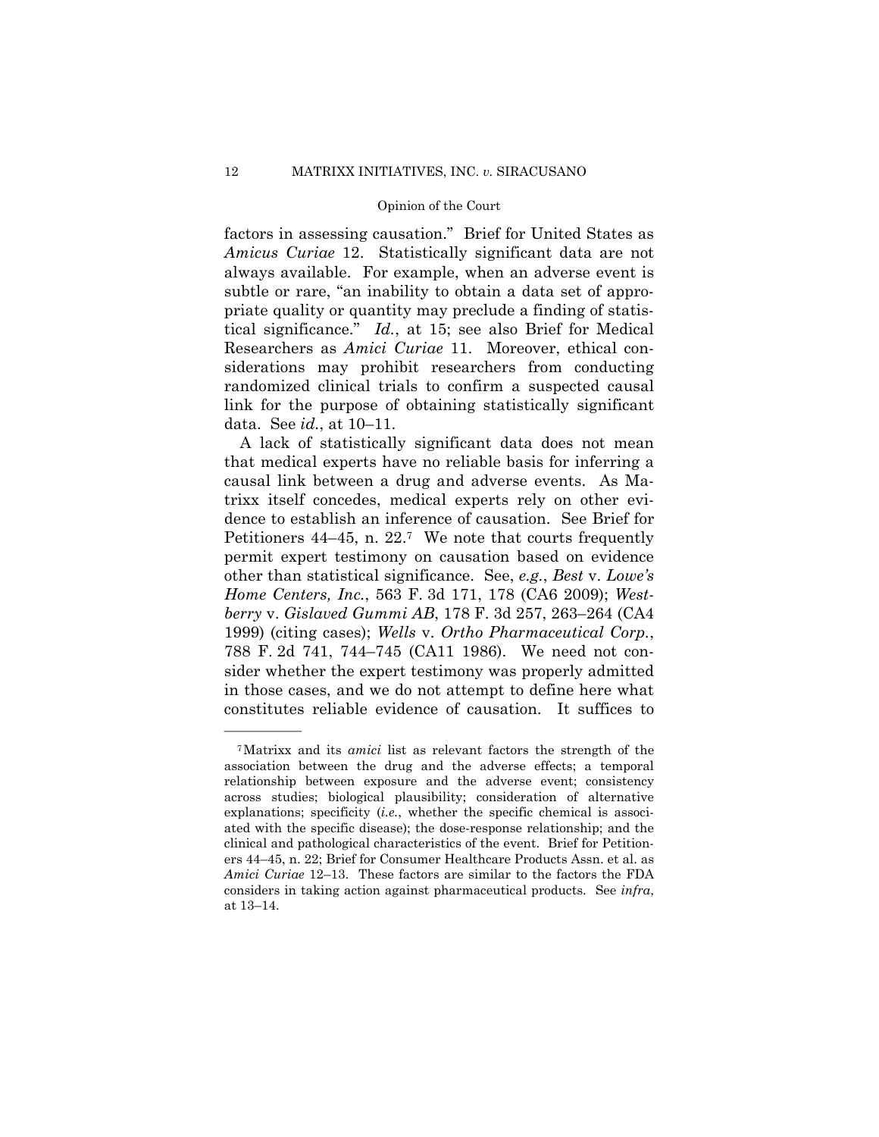factors in assessing causation." Brief for United States as *Amicus Curiae* 12. Statistically significant data are not always available. For example, when an adverse event is subtle or rare, "an inability to obtain a data set of appropriate quality or quantity may preclude a finding of statistical significance." *Id.*, at 15; see also Brief for Medical Researchers as *Amici Curiae* 11. Moreover, ethical considerations may prohibit researchers from conducting randomized clinical trials to confirm a suspected causal link for the purpose of obtaining statistically significant data. See *id.*, at 10–11.

A lack of statistically significant data does not mean that medical experts have no reliable basis for inferring a causal link between a drug and adverse events. As Matrixx itself concedes, medical experts rely on other evidence to establish an inference of causation. See Brief for Petitioners 44–45, n. 22.<sup>7</sup> We note that courts frequently permit expert testimony on causation based on evidence other than statistical significance. See, *e.g.*, *Best* v. *Lowe's Home Centers, Inc.*, 563 F. 3d 171, 178 (CA6 2009); *Westberry* v. *Gislaved Gummi AB*, 178 F. 3d 257, 263–264 (CA4 1999) (citing cases); *Wells* v. *Ortho Pharmaceutical Corp.*, 788 F. 2d 741, 744–745 (CA11 1986). We need not consider whether the expert testimony was properly admitted in those cases, and we do not attempt to define here what constitutes reliable evidence of causation. It suffices to

<sup>7</sup>Matrixx and its *amici* list as relevant factors the strength of the association between the drug and the adverse effects; a temporal relationship between exposure and the adverse event; consistency across studies; biological plausibility; consideration of alternative explanations; specificity (*i.e.*, whether the specific chemical is associated with the specific disease); the dose-response relationship; and the clinical and pathological characteristics of the event. Brief for Petitioners 44–45, n. 22; Brief for Consumer Healthcare Products Assn. et al. as *Amici Curiae* 12–13. These factors are similar to the factors the FDA considers in taking action against pharmaceutical products. See *infra*, at 13–14.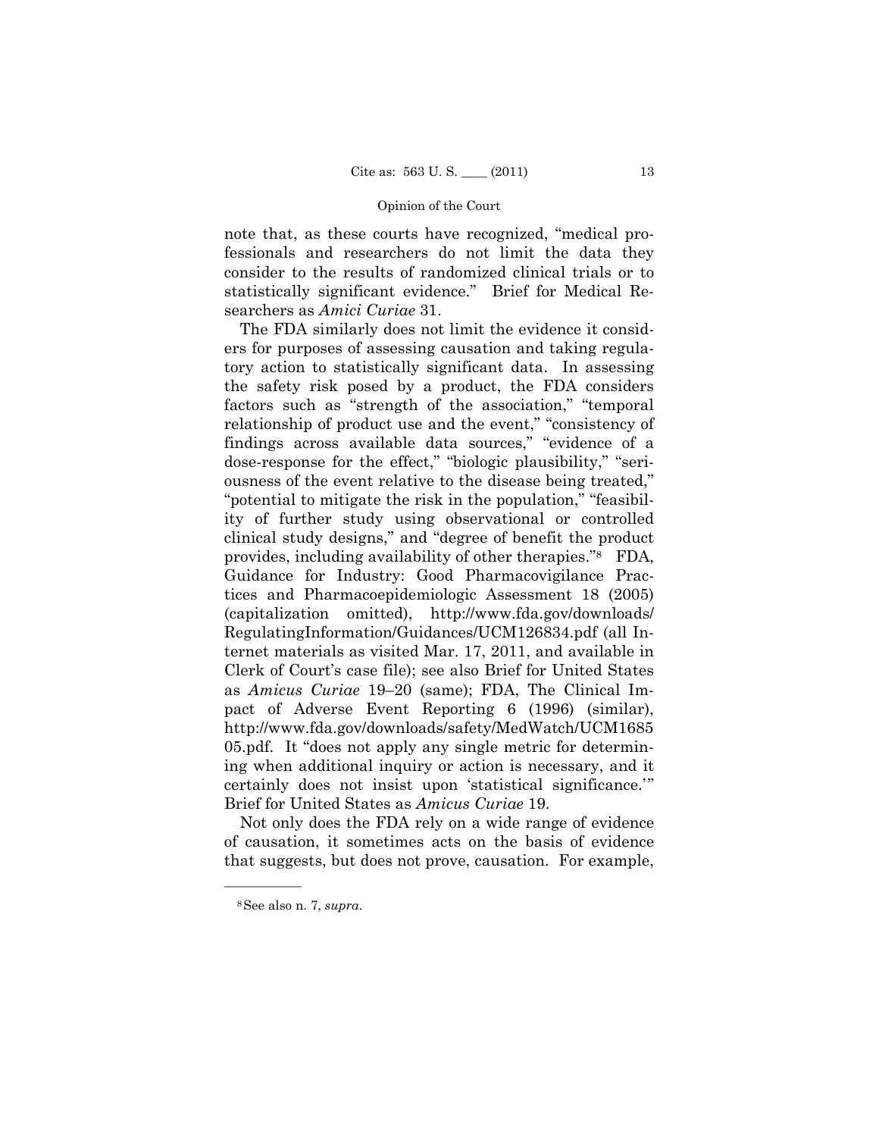note that, as these courts have recognized, "medical professionals and researchers do not limit the data they consider to the results of randomized clinical trials or to statistically significant evidence." Brief for Medical Researchers as *Amici Curiae* 31.

The FDA similarly does not limit the evidence it considers for purposes of assessing causation and taking regulatory action to statistically significant data. In assessing the safety risk posed by a product, the FDA considers factors such as "strength of the association," "temporal relationship of product use and the event," "consistency of findings across available data sources," "evidence of a dose-response for the effect," "biologic plausibility," "seriousness of the event relative to the disease being treated," "potential to mitigate the risk in the population," "feasibility of further study using observational or controlled clinical study designs," and "degree of benefit the product provides, including availability of other therapies."8 FDA, Guidance for Industry: Good Pharmacovigilance Practices and Pharmacoepidemiologic Assessment 18 (2005) (capitalization omitted), http://www.fda.gov/downloads/ RegulatingInformation/Guidances/UCM126834.pdf (all Internet materials as visited Mar. 17, 2011, and available in Clerk of Court's case file); see also Brief for United States as *Amicus Curiae* 19–20 (same); FDA, The Clinical Impact of Adverse Event Reporting 6 (1996) (similar), http://www.fda.gov/downloads/safety/MedWatch/UCM1685 05.pdf. It "does not apply any single metric for determining when additional inquiry or action is necessary, and it certainly does not insist upon 'statistical significance.'" Brief for United States as *Amicus Curiae* 19.

Not only does the FDA rely on a wide range of evidence of causation, it sometimes acts on the basis of evidence that suggests, but does not prove, causation. For example,

<sup>8</sup>See also n. 7, *supra*.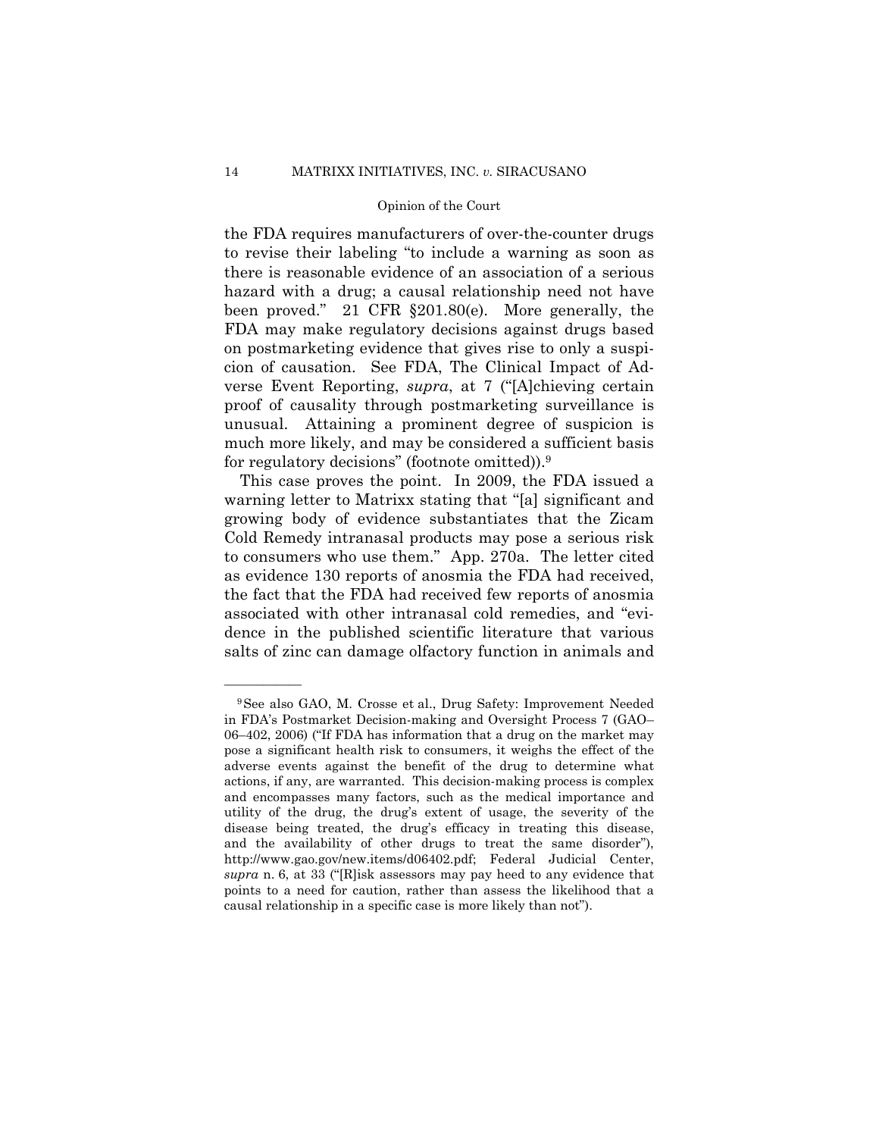the FDA requires manufacturers of over-the-counter drugs to revise their labeling "to include a warning as soon as there is reasonable evidence of an association of a serious hazard with a drug; a causal relationship need not have been proved." 21 CFR §201.80(e). More generally, the FDA may make regulatory decisions against drugs based on postmarketing evidence that gives rise to only a suspicion of causation. See FDA, The Clinical Impact of Adverse Event Reporting, *supra*, at 7 ("[A]chieving certain proof of causality through postmarketing surveillance is unusual. Attaining a prominent degree of suspicion is much more likely, and may be considered a sufficient basis for regulatory decisions" (footnote omitted)).9

This case proves the point. In 2009, the FDA issued a warning letter to Matrixx stating that "[a] significant and growing body of evidence substantiates that the Zicam Cold Remedy intranasal products may pose a serious risk to consumers who use them." App. 270a. The letter cited as evidence 130 reports of anosmia the FDA had received, the fact that the FDA had received few reports of anosmia associated with other intranasal cold remedies, and "evidence in the published scientific literature that various salts of zinc can damage olfactory function in animals and

<sup>9</sup>See also GAO, M. Crosse et al., Drug Safety: Improvement Needed in FDA's Postmarket Decision-making and Oversight Process 7 (GAO– 06–402, 2006) ("If FDA has information that a drug on the market may pose a significant health risk to consumers, it weighs the effect of the adverse events against the benefit of the drug to determine what actions, if any, are warranted. This decision-making process is complex and encompasses many factors, such as the medical importance and utility of the drug, the drug's extent of usage, the severity of the disease being treated, the drug's efficacy in treating this disease, and the availability of other drugs to treat the same disorder"), http://www.gao.gov/new.items/d06402.pdf; Federal Judicial Center, *supra* n. 6, at 33 ("[R]isk assessors may pay heed to any evidence that points to a need for caution, rather than assess the likelihood that a causal relationship in a specific case is more likely than not").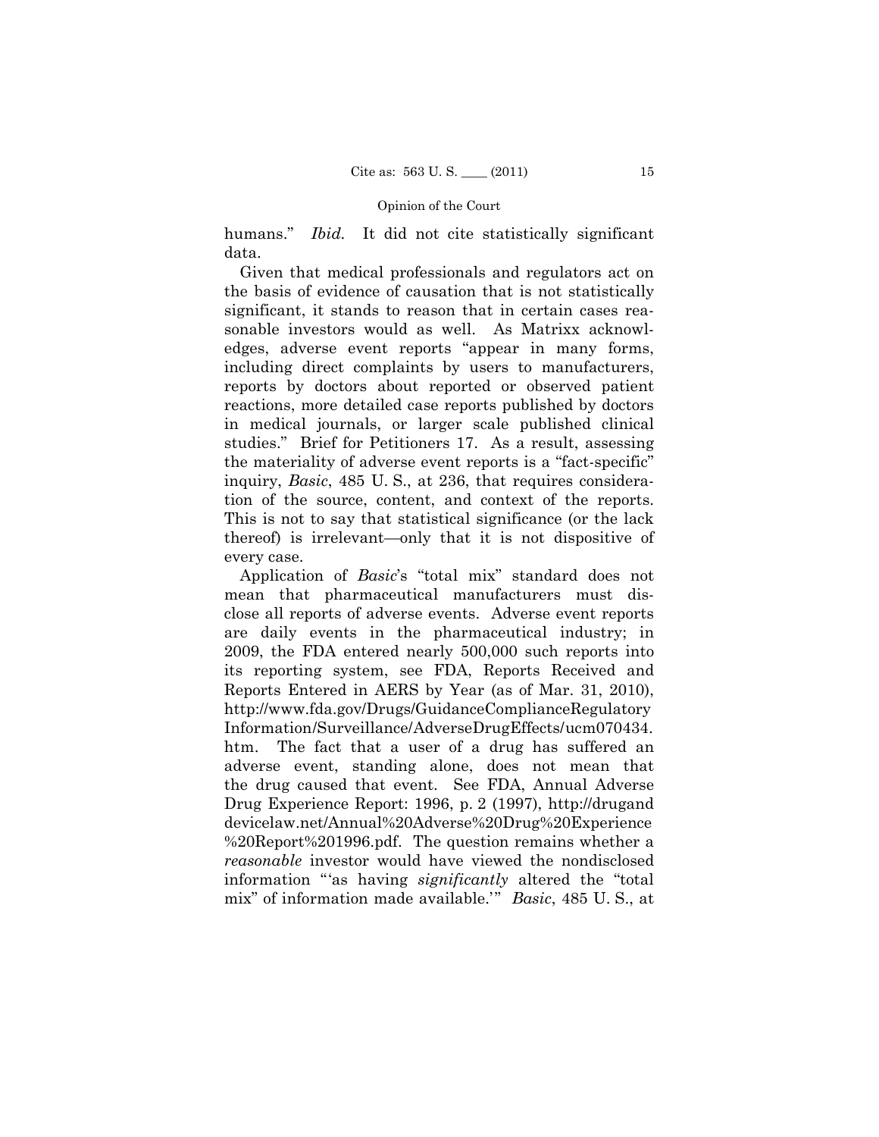humans." *Ibid.* It did not cite statistically significant data.

Given that medical professionals and regulators act on the basis of evidence of causation that is not statistically significant, it stands to reason that in certain cases reasonable investors would as well. As Matrixx acknowledges, adverse event reports "appear in many forms, including direct complaints by users to manufacturers, reports by doctors about reported or observed patient reactions, more detailed case reports published by doctors in medical journals, or larger scale published clinical studies." Brief for Petitioners 17. As a result, assessing the materiality of adverse event reports is a "fact-specific" inquiry, *Basic*, 485 U. S., at 236, that requires consideration of the source, content, and context of the reports. This is not to say that statistical significance (or the lack thereof) is irrelevant—only that it is not dispositive of every case.

 Application of *Basic*'s "total mix" standard does not mean that pharmaceutical manufacturers must disclose all reports of adverse events. Adverse event reports are daily events in the pharmaceutical industry; in 2009, the FDA entered nearly 500,000 such reports into its reporting system, see FDA, Reports Received and Reports Entered in AERS by Year (as of Mar. 31, 2010), http://www.fda.gov/Drugs/GuidanceComplianceRegulatory Information/Surveillance/AdverseDrugEffects/ucm070434. htm. The fact that a user of a drug has suffered an adverse event, standing alone, does not mean that the drug caused that event. See FDA, Annual Adverse Drug Experience Report: 1996, p. 2 (1997), http://drugand devicelaw.net/Annual%20Adverse%20Drug%20Experience %20Report%201996.pdf. The question remains whether a *reasonable* investor would have viewed the nondisclosed information "'as having *significantly* altered the "total mix" of information made available.'" *Basic*, 485 U. S., at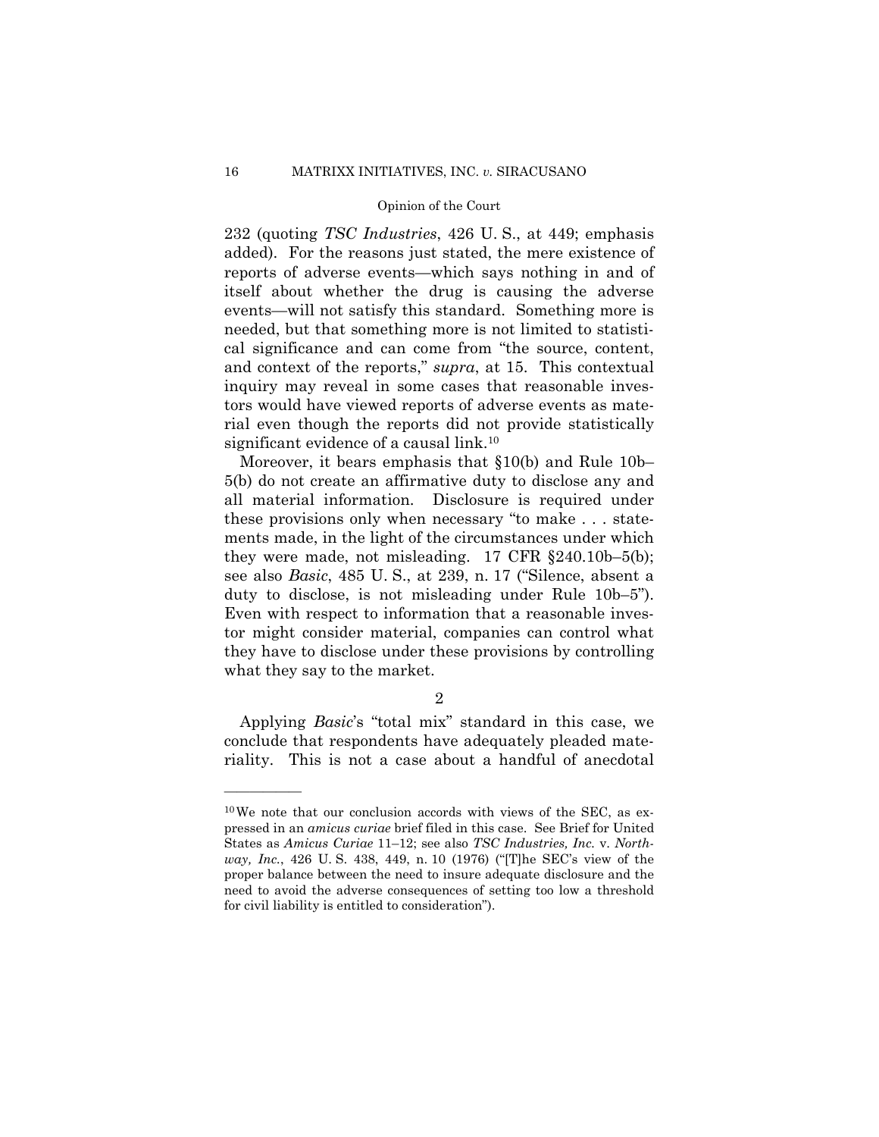232 (quoting *TSC Industries*, 426 U. S., at 449; emphasis added). For the reasons just stated, the mere existence of reports of adverse events—which says nothing in and of itself about whether the drug is causing the adverse events—will not satisfy this standard. Something more is needed, but that something more is not limited to statistical significance and can come from "the source, content, and context of the reports," *supra*, at 15. This contextual inquiry may reveal in some cases that reasonable investors would have viewed reports of adverse events as material even though the reports did not provide statistically significant evidence of a causal link.<sup>10</sup>

Moreover, it bears emphasis that §10(b) and Rule 10b– 5(b) do not create an affirmative duty to disclose any and all material information. Disclosure is required under these provisions only when necessary "to make . . . statements made, in the light of the circumstances under which they were made, not misleading. 17 CFR §240.10b–5(b); see also *Basic*, 485 U. S., at 239, n. 17 ("Silence, absent a duty to disclose, is not misleading under Rule 10b–5"). Even with respect to information that a reasonable investor might consider material, companies can control what they have to disclose under these provisions by controlling what they say to the market.

2

Applying *Basic*'s "total mix" standard in this case, we conclude that respondents have adequately pleaded materiality. This is not a case about a handful of anecdotal

<sup>10</sup>We note that our conclusion accords with views of the SEC, as expressed in an *amicus curiae* brief filed in this case. See Brief for United States as *Amicus Curiae* 11–12; see also *TSC Industries, Inc.* v. *Northway, Inc.*, 426 U. S. 438, 449, n. 10 (1976) ("[T]he SEC's view of the proper balance between the need to insure adequate disclosure and the need to avoid the adverse consequences of setting too low a threshold for civil liability is entitled to consideration").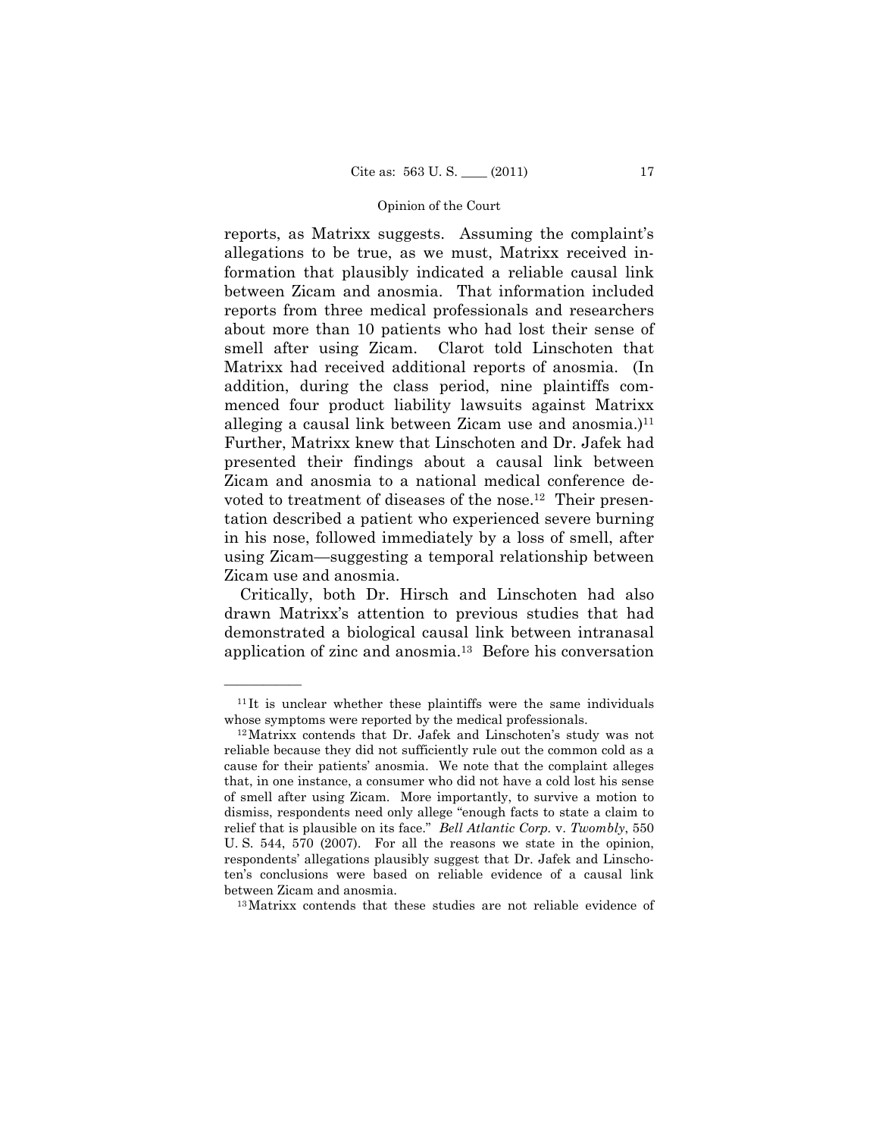reports, as Matrixx suggests. Assuming the complaint's allegations to be true, as we must, Matrixx received information that plausibly indicated a reliable causal link between Zicam and anosmia. That information included reports from three medical professionals and researchers about more than 10 patients who had lost their sense of smell after using Zicam. Clarot told Linschoten that Matrixx had received additional reports of anosmia. (In addition, during the class period, nine plaintiffs commenced four product liability lawsuits against Matrixx alleging a causal link between Zicam use and anosmia.)<sup>11</sup> Further, Matrixx knew that Linschoten and Dr. Jafek had presented their findings about a causal link between Zicam and anosmia to a national medical conference devoted to treatment of diseases of the nose.<sup>12</sup> Their presentation described a patient who experienced severe burning in his nose, followed immediately by a loss of smell, after using Zicam—suggesting a temporal relationship between Zicam use and anosmia.

Critically, both Dr. Hirsch and Linschoten had also drawn Matrixx's attention to previous studies that had demonstrated a biological causal link between intranasal application of zinc and anosmia.13 Before his conversation

 $11$ It is unclear whether these plaintiffs were the same individuals whose symptoms were reported by the medical professionals.<br><sup>12</sup>Matrixx contends that Dr. Jafek and Linschoten's study was not

reliable because they did not sufficiently rule out the common cold as a cause for their patients' anosmia. We note that the complaint alleges that, in one instance, a consumer who did not have a cold lost his sense of smell after using Zicam. More importantly, to survive a motion to dismiss, respondents need only allege "enough facts to state a claim to relief that is plausible on its face." *Bell Atlantic Corp.* v. *Twombly*, 550 U. S. 544, 570 (2007). For all the reasons we state in the opinion, respondents' allegations plausibly suggest that Dr. Jafek and Linschoten's conclusions were based on reliable evidence of a causal link between Zicam and anosmia.<br><sup>13</sup>Matrixx contends that these studies are not reliable evidence of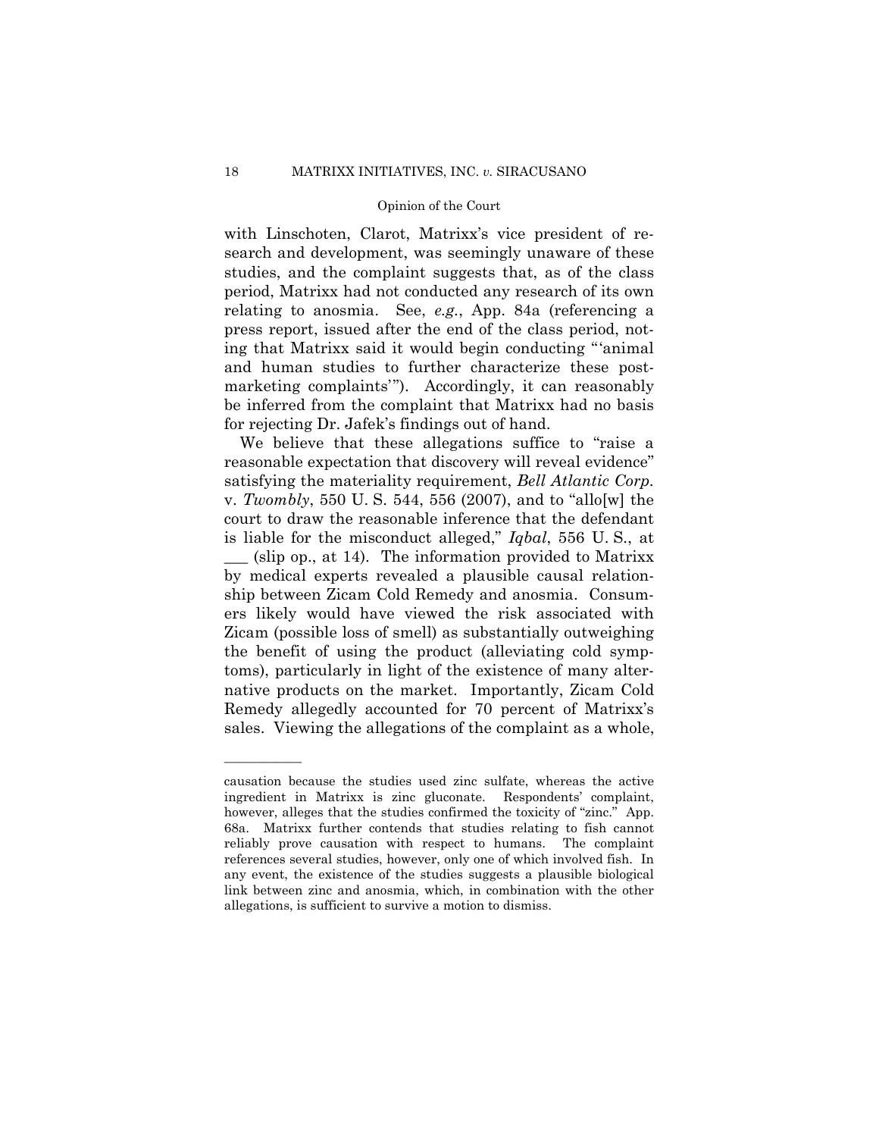with Linschoten, Clarot, Matrixx's vice president of research and development, was seemingly unaware of these studies, and the complaint suggests that, as of the class period, Matrixx had not conducted any research of its own relating to anosmia. See, *e.g.*, App. 84a (referencing a press report, issued after the end of the class period, noting that Matrixx said it would begin conducting "'animal and human studies to further characterize these postmarketing complaints'"). Accordingly, it can reasonably be inferred from the complaint that Matrixx had no basis for rejecting Dr. Jafek's findings out of hand.

We believe that these allegations suffice to "raise a reasonable expectation that discovery will reveal evidence" satisfying the materiality requirement, *Bell Atlantic Corp.*  v. *Twombly*, 550 U. S. 544, 556 (2007), and to "allo[w] the court to draw the reasonable inference that the defendant is liable for the misconduct alleged," *Iqbal*, 556 U. S., at

 $\alpha$  (slip op., at 14). The information provided to Matrixx by medical experts revealed a plausible causal relationship between Zicam Cold Remedy and anosmia. Consumers likely would have viewed the risk associated with Zicam (possible loss of smell) as substantially outweighing the benefit of using the product (alleviating cold symptoms), particularly in light of the existence of many alternative products on the market. Importantly, Zicam Cold Remedy allegedly accounted for 70 percent of Matrixx's sales. Viewing the allegations of the complaint as a whole,

causation because the studies used zinc sulfate, whereas the active ingredient in Matrixx is zinc gluconate. Respondents' complaint, however, alleges that the studies confirmed the toxicity of "zinc." App. 68a. Matrixx further contends that studies relating to fish cannot reliably prove causation with respect to humans. The complaint references several studies, however, only one of which involved fish. In any event, the existence of the studies suggests a plausible biological link between zinc and anosmia, which, in combination with the other allegations, is sufficient to survive a motion to dismiss.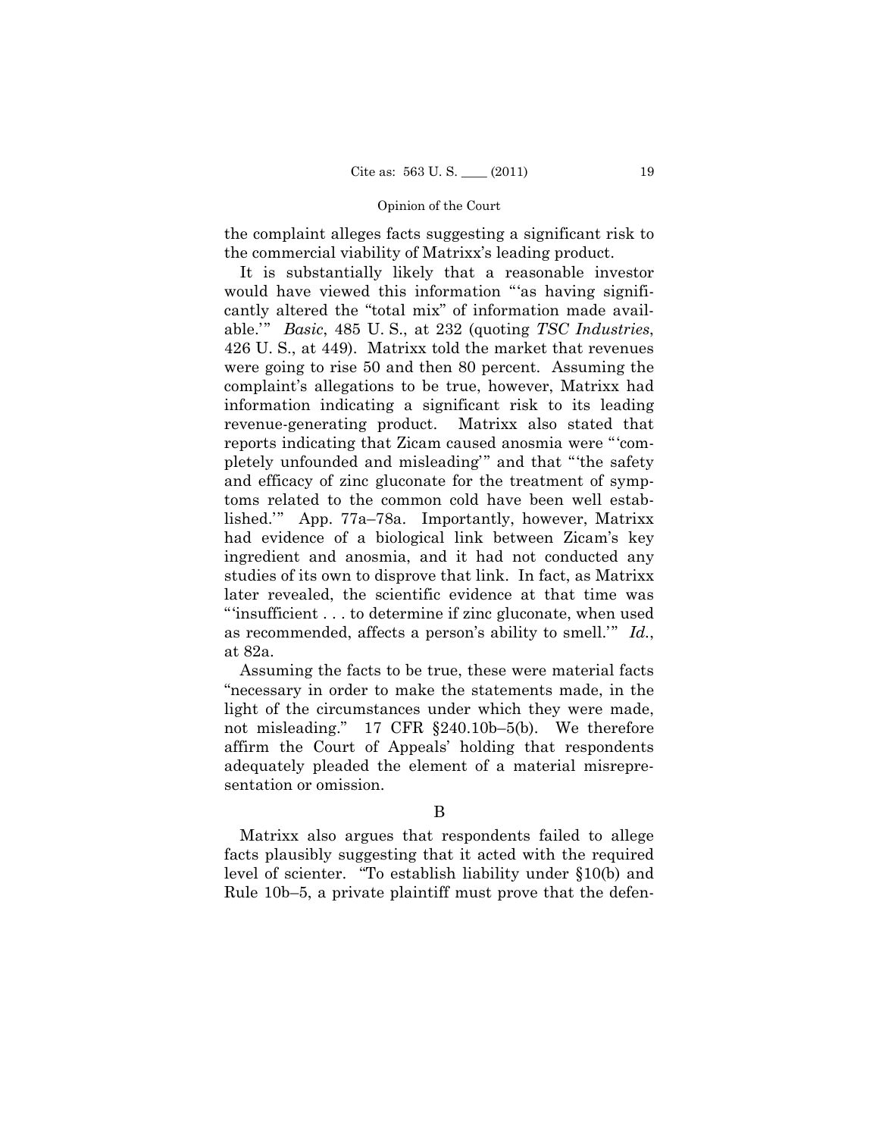the complaint alleges facts suggesting a significant risk to the commercial viability of Matrixx's leading product.

It is substantially likely that a reasonable investor would have viewed this information "'as having significantly altered the "total mix" of information made available.'" *Basic*, 485 U. S., at 232 (quoting *TSC Industries*, 426 U. S., at 449). Matrixx told the market that revenues were going to rise 50 and then 80 percent. Assuming the complaint's allegations to be true, however, Matrixx had information indicating a significant risk to its leading revenue-generating product. Matrixx also stated that reports indicating that Zicam caused anosmia were "'completely unfounded and misleading'" and that "'the safety and efficacy of zinc gluconate for the treatment of symptoms related to the common cold have been well established.'" App. 77a–78a. Importantly, however, Matrixx had evidence of a biological link between Zicam's key ingredient and anosmia, and it had not conducted any studies of its own to disprove that link. In fact, as Matrixx later revealed, the scientific evidence at that time was "'insufficient . . . to determine if zinc gluconate, when used as recommended, affects a person's ability to smell.'" *Id.*, at 82a.

Assuming the facts to be true, these were material facts "necessary in order to make the statements made, in the light of the circumstances under which they were made, not misleading." 17 CFR §240.10b–5(b). We therefore affirm the Court of Appeals' holding that respondents adequately pleaded the element of a material misrepresentation or omission.

B

Matrixx also argues that respondents failed to allege facts plausibly suggesting that it acted with the required level of scienter. "To establish liability under §10(b) and Rule 10b–5, a private plaintiff must prove that the defen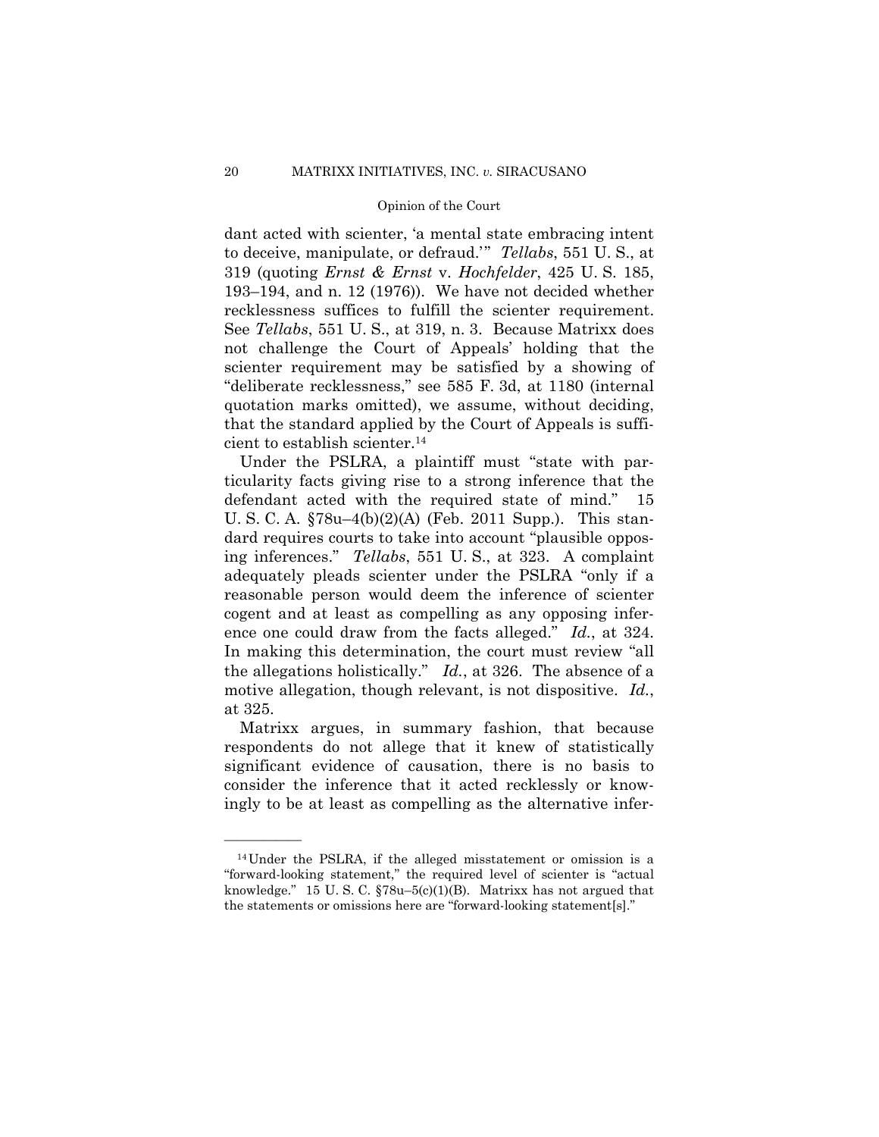dant acted with scienter, 'a mental state embracing intent to deceive, manipulate, or defraud.'" *Tellabs*, 551 U. S., at 319 (quoting *Ernst & Ernst* v. *Hochfelder*, 425 U. S. 185, 193–194, and n. 12 (1976)). We have not decided whether recklessness suffices to fulfill the scienter requirement. See *Tellabs*, 551 U. S., at 319, n. 3. Because Matrixx does not challenge the Court of Appeals' holding that the scienter requirement may be satisfied by a showing of "deliberate recklessness," see 585 F. 3d, at 1180 (internal quotation marks omitted), we assume, without deciding, that the standard applied by the Court of Appeals is sufficient to establish scienter.14

Under the PSLRA, a plaintiff must "state with particularity facts giving rise to a strong inference that the defendant acted with the required state of mind." 15 U. S. C. A. §78u–4(b)(2)(A) (Feb. 2011 Supp.). This standard requires courts to take into account "plausible opposing inferences." *Tellabs*, 551 U. S., at 323. A complaint adequately pleads scienter under the PSLRA "only if a reasonable person would deem the inference of scienter cogent and at least as compelling as any opposing inference one could draw from the facts alleged." *Id.*, at 324. In making this determination, the court must review "all the allegations holistically." *Id.*, at 326. The absence of a motive allegation, though relevant, is not dispositive. *Id.*, at 325.

Matrixx argues, in summary fashion, that because respondents do not allege that it knew of statistically significant evidence of causation, there is no basis to consider the inference that it acted recklessly or knowingly to be at least as compelling as the alternative infer

<sup>14</sup>Under the PSLRA, if the alleged misstatement or omission is a "forward-looking statement," the required level of scienter is "actual knowledge." 15 U.S.C.  $$78u-5(c)(1)(B)$ . Matrixx has not argued that the statements or omissions here are "forward-looking statement[s]."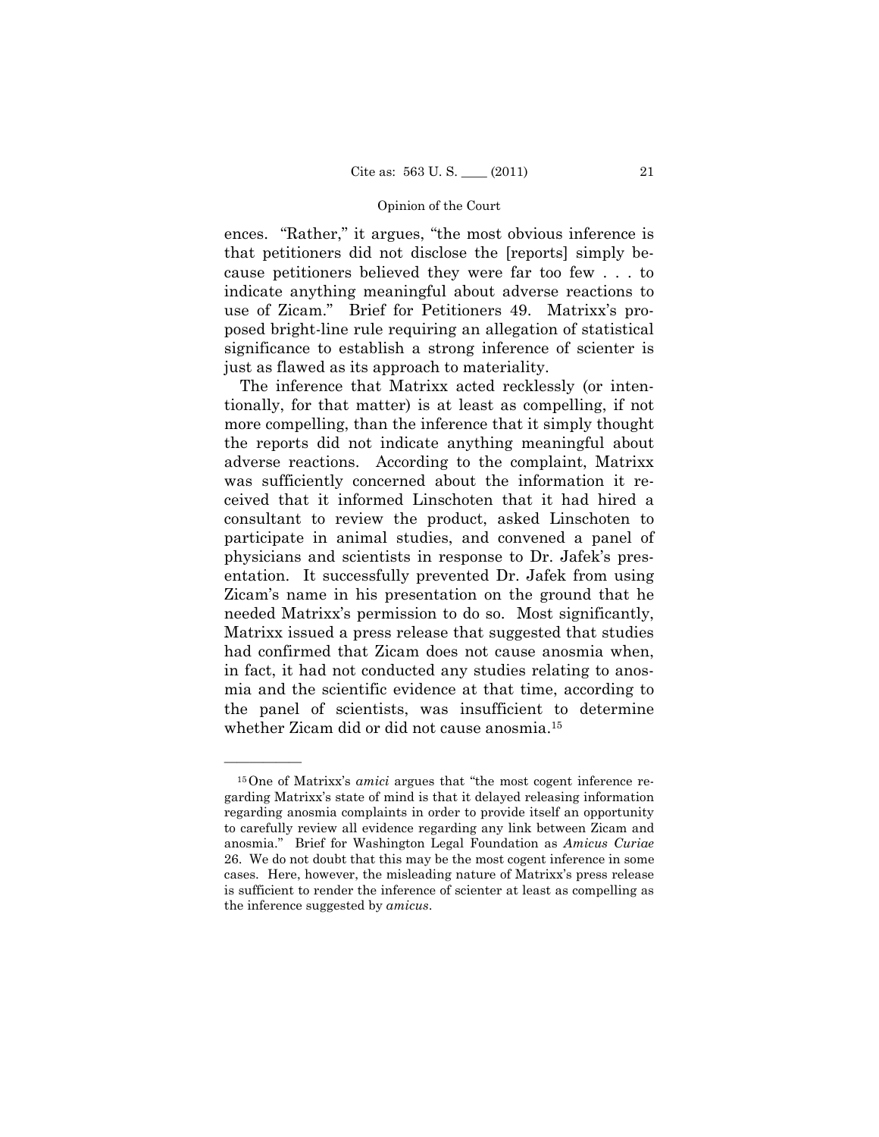ences. "Rather," it argues, "the most obvious inference is that petitioners did not disclose the [reports] simply because petitioners believed they were far too few . . . to indicate anything meaningful about adverse reactions to use of Zicam." Brief for Petitioners 49. Matrixx's proposed bright-line rule requiring an allegation of statistical significance to establish a strong inference of scienter is just as flawed as its approach to materiality.

The inference that Matrixx acted recklessly (or intentionally, for that matter) is at least as compelling, if not more compelling, than the inference that it simply thought the reports did not indicate anything meaningful about adverse reactions. According to the complaint, Matrixx was sufficiently concerned about the information it received that it informed Linschoten that it had hired a consultant to review the product, asked Linschoten to participate in animal studies, and convened a panel of physicians and scientists in response to Dr. Jafek's presentation. It successfully prevented Dr. Jafek from using Zicam's name in his presentation on the ground that he needed Matrixx's permission to do so. Most significantly, Matrixx issued a press release that suggested that studies had confirmed that Zicam does not cause anosmia when, in fact, it had not conducted any studies relating to anosmia and the scientific evidence at that time, according to the panel of scientists, was insufficient to determine whether Zicam did or did not cause anosmia.15

<sup>15</sup>One of Matrixx's *amici* argues that "the most cogent inference regarding Matrixx's state of mind is that it delayed releasing information regarding anosmia complaints in order to provide itself an opportunity to carefully review all evidence regarding any link between Zicam and anosmia." Brief for Washington Legal Foundation as *Amicus Curiae*  26. We do not doubt that this may be the most cogent inference in some cases. Here, however, the misleading nature of Matrixx's press release is sufficient to render the inference of scienter at least as compelling as the inference suggested by *amicus*.